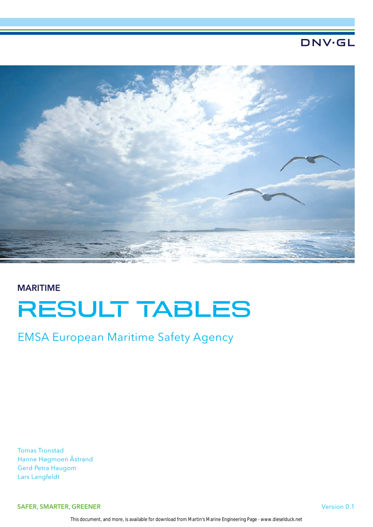## **DNV·GL**



# MARITIME RESULT TABLES

EMSA European Maritime Safety Agency

Tomas Tronstad Hanne Høgmoen Åstrand Gerd Petra Haugom Lars Langfeldt

SAFER, SMARTER, GREENER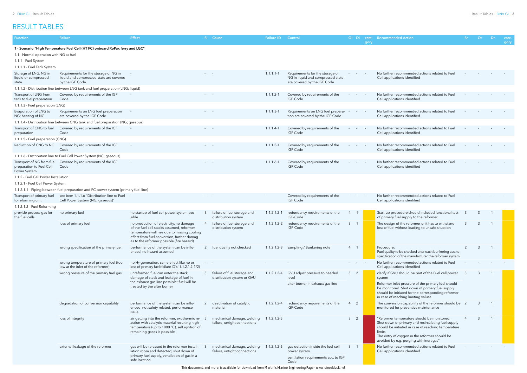| Function                                                              | Failure                                                                                             | <b>Effect</b>                                                                                                                                                                                                                    |                                                           | Si Cause                                                    | <b>Failure ID</b> | Control                                                                                             | Oi Di                            | gory | cate-Recommended Action                                                                                                                                                                                                                                        | -Sr | Or | Dr.            | cate-<br>gory |
|-----------------------------------------------------------------------|-----------------------------------------------------------------------------------------------------|----------------------------------------------------------------------------------------------------------------------------------------------------------------------------------------------------------------------------------|-----------------------------------------------------------|-------------------------------------------------------------|-------------------|-----------------------------------------------------------------------------------------------------|----------------------------------|------|----------------------------------------------------------------------------------------------------------------------------------------------------------------------------------------------------------------------------------------------------------------|-----|----|----------------|---------------|
|                                                                       | 1 - Scenario "High Temperature Fuel Cell (HT FC) onboard RoPax ferry and LGC"                       |                                                                                                                                                                                                                                  |                                                           |                                                             |                   |                                                                                                     |                                  |      |                                                                                                                                                                                                                                                                |     |    |                |               |
| 1.1 - Normal operation with NG as fuel                                |                                                                                                     |                                                                                                                                                                                                                                  |                                                           |                                                             |                   |                                                                                                     |                                  |      |                                                                                                                                                                                                                                                                |     |    |                |               |
| 1.1.1 - Fuel System                                                   |                                                                                                     |                                                                                                                                                                                                                                  |                                                           |                                                             |                   |                                                                                                     |                                  |      |                                                                                                                                                                                                                                                                |     |    |                |               |
| 1.1.1.1 - Fuel Tank System                                            |                                                                                                     |                                                                                                                                                                                                                                  |                                                           |                                                             |                   |                                                                                                     |                                  |      |                                                                                                                                                                                                                                                                |     |    |                |               |
| Storage of LNG, NG in<br>liquid or compressed<br>state                | Requirements for the storage of NG in<br>liquid and compressed state are covered<br>by the IGF Code |                                                                                                                                                                                                                                  |                                                           |                                                             | $1.1.1.1 - 1$     | Requirements for the storage of<br>NG in liquid and compressed state<br>are covered by the IGF Code |                                  |      | No further recommended actions related to Fuel<br>Cell applications identified                                                                                                                                                                                 |     |    |                |               |
|                                                                       | 1.1.1.2 - Distribution line between LNG tank and fuel preparation (LNG; liquid)                     |                                                                                                                                                                                                                                  |                                                           |                                                             |                   |                                                                                                     |                                  |      |                                                                                                                                                                                                                                                                |     |    |                |               |
| Transport of LNG from<br>tank to fuel preparation                     | Covered by requirements of the IGF<br>Code                                                          |                                                                                                                                                                                                                                  |                                                           |                                                             | $1.1.1.2 - 1$     | Covered by requirements of the<br><b>IGF Code</b>                                                   |                                  |      | No further recommended actions related to Fuel<br>Cell applications identified                                                                                                                                                                                 |     |    |                |               |
| 1.1.1.3 - Fuel preparation (LNG)                                      |                                                                                                     |                                                                                                                                                                                                                                  |                                                           |                                                             |                   |                                                                                                     |                                  |      |                                                                                                                                                                                                                                                                |     |    |                |               |
| Evaporation of LNG to<br>NG; heating of NG                            | Requirements on LNG fuel preparation<br>are covered by the IGF Code                                 |                                                                                                                                                                                                                                  |                                                           |                                                             | $1.1.1.3 - 1$     | Requirements on LNG fuel prepara-<br>tion are covered by the IGF Code                               |                                  |      | No further recommended actions related to Fue<br>Cell applications identified                                                                                                                                                                                  |     |    |                |               |
|                                                                       | 1.1.1.4 - Distribution line between CNG tank and fuel preparation (NG; gaseous)                     |                                                                                                                                                                                                                                  |                                                           |                                                             |                   |                                                                                                     |                                  |      |                                                                                                                                                                                                                                                                |     |    |                |               |
| Transport of CNG to fuel<br>preparation                               | Covered by requirements of the IGF<br>Code                                                          |                                                                                                                                                                                                                                  | <b>Service</b> State                                      |                                                             | $1.1.1.4-1$       | Covered by requirements of the<br><b>IGF Code</b>                                                   |                                  |      | No further recommended actions related to Fuel<br>Cell applications identified                                                                                                                                                                                 |     |    |                |               |
| 1.1.1.5 - Fuel preparation (CNG)                                      |                                                                                                     |                                                                                                                                                                                                                                  |                                                           |                                                             |                   |                                                                                                     |                                  |      |                                                                                                                                                                                                                                                                |     |    |                |               |
| Reduction of CNG to NG                                                | Covered by requirements of the IGF<br>Code                                                          |                                                                                                                                                                                                                                  |                                                           |                                                             | $1.1.1.5 - 1$     | Covered by requirements of the<br><b>IGF Code</b>                                                   |                                  |      | No further recommended actions related to Fuel<br>Cell applications identified                                                                                                                                                                                 |     |    |                |               |
|                                                                       | 1.1.1.6 - Distribution line to Fuel Cell Power System (NG; gaseous)                                 |                                                                                                                                                                                                                                  |                                                           |                                                             |                   |                                                                                                     |                                  |      |                                                                                                                                                                                                                                                                |     |    |                |               |
| Transport of NG from fuel<br>preparation to Fuel Cell<br>Power System | Covered by requirements of the IGF<br>Code                                                          | $\overline{\phantom{a}}$                                                                                                                                                                                                         |                                                           |                                                             | $1.1.1.6 - 1$     | Covered by requirements of the<br><b>IGF Code</b>                                                   |                                  |      | No further recommended actions related to Fuel<br>Cell applications identified                                                                                                                                                                                 |     |    |                |               |
| 1.1.2 - Fuel Cell Power Installation                                  |                                                                                                     |                                                                                                                                                                                                                                  |                                                           |                                                             |                   |                                                                                                     |                                  |      |                                                                                                                                                                                                                                                                |     |    |                |               |
| 1.1.2.1 - Fuel Cell Power System                                      |                                                                                                     |                                                                                                                                                                                                                                  |                                                           |                                                             |                   |                                                                                                     |                                  |      |                                                                                                                                                                                                                                                                |     |    |                |               |
|                                                                       | 1.1.2.1.1 - Piping between fuel preparation and FC power system (primary fuel line)                 |                                                                                                                                                                                                                                  |                                                           |                                                             |                   |                                                                                                     |                                  |      |                                                                                                                                                                                                                                                                |     |    |                |               |
| Transport of primary fuel<br>to reforming unit                        | see item 1.1.1.6 "Distribution line to Fuel<br>Cell Power System (NG; gaseous)"                     |                                                                                                                                                                                                                                  |                                                           |                                                             |                   | Covered by requirements of the<br><b>IGF Code</b>                                                   |                                  |      | No further recommended actions related to Fuel<br>Cell applications identified                                                                                                                                                                                 |     |    |                |               |
| 1.1.2.1.2 - Fuel Reforming                                            |                                                                                                     |                                                                                                                                                                                                                                  |                                                           |                                                             |                   |                                                                                                     |                                  |      |                                                                                                                                                                                                                                                                |     |    |                |               |
| provide process gas for<br>the fuel cells                             | no primary fuel                                                                                     | no startup of fuel cell power system pos-<br>sible                                                                                                                                                                               |                                                           | failure of fuel storage and<br>distribution system          | $1.1.2.1.2-1$     | redundancy requirements of the<br>IGF-Code                                                          | 4                                |      | Start-up procedure should included functional test<br>of primary fuel supply to the reformer                                                                                                                                                                   |     |    |                |               |
|                                                                       | loss of primary fuel                                                                                | no production of electricity, no damage<br>of the fuel cell stacks assumed, reformer<br>temperature will rise due to missing cooling<br>effect from fuel conversion, further damag-<br>es to the reformer possible (fire hazard) |                                                           | failure of fuel storage and<br>distribution system          | $1.1.2.1.2 - 2$   | redundancy requirements of the<br>IGF-Code                                                          | $\mathbf{3}$                     |      | The design of the reformer unit has to withstand<br>loss of fuel without leading to unsafe situation                                                                                                                                                           |     |    |                |               |
|                                                                       | wrong specification of the primary fuel                                                             | performance of the system can be influ-<br>enced, no hazard assumed                                                                                                                                                              |                                                           | 2 fuel quality not checked                                  | $1.1.2.1.2-3$     | sampling / Bunkering note                                                                           | 4 1                              |      | Procedure:<br>Fuel quality to be checked after each bunkering acc. to<br>specification of the manufacturer the reformer system                                                                                                                                 | 2   | 3  | $\overline{1}$ |               |
|                                                                       | wrong temperature of primary fuel (too<br>low at the inlet of the reformer)                         | no H <sub>2</sub> generation, same effect like no or<br>loss of primary fuel (failure ID's '1.1.2.1.2-1/2)                                                                                                                       | $\mathcal{L}^{\text{max}}$ and $\mathcal{L}^{\text{max}}$ |                                                             |                   |                                                                                                     | and the control of               |      | No further recommended actions related to Fuel<br>Cell applications identified                                                                                                                                                                                 |     |    |                |               |
|                                                                       | wrong pressure of the primary fuel gas                                                              | unreformed fuel can enter the stack,<br>damage of stack and leakage of fuel in                                                                                                                                                   |                                                           | 3 failure of fuel storage and<br>distribution system or GVU | $1.1.2.1.2 - 4$   | GVU adjust pressure to needed<br>level                                                              | 3 <sup>1</sup><br>$\overline{2}$ |      | clarify if GVU should be part of the Fuel cell power<br>system                                                                                                                                                                                                 |     |    |                |               |
|                                                                       |                                                                                                     | the exhaust gas line possible; fuel will be<br>treated by the after burner                                                                                                                                                       |                                                           |                                                             |                   | after burner in exhaust gas line                                                                    |                                  |      | Reformer inlet pressure of the primary fuel should<br>be monitored. Shut down of primary fuel supply<br>should be initiated for the corresponding reformer<br>in case of reaching limiting values.                                                             |     |    |                |               |
|                                                                       | degradation of conversion capability                                                                | performance of the system can be influ-<br>enced, not safety related, performance<br>issue                                                                                                                                       |                                                           | deactivation of catalytic<br>material                       | $1.1.2.1.2 - 4$   | redundancy requirements of the<br>IGF-Code                                                          | 4 2                              |      | The conversion capability of the reformer should be 2<br>monitored for preventive maintenance                                                                                                                                                                  |     | 3  |                |               |
|                                                                       | loss of integrity                                                                                   | air getting into the reformer, exothermic re-<br>action with catalytic material resulting high<br>temperature (up to 1000 °C), self ignition of<br>remaining gases is possible                                                   |                                                           | mechanical damage, welding<br>failure, untight connections  | 1.1.2.1.2-5       |                                                                                                     | 3 <sup>2</sup>                   |      | "Reformer temperature should be monitored.<br>Shut down of primary and recirculating fuel supply<br>should be initiated in case of reaching temperature<br>limits.<br>The entry of oxygen in the reformer should be<br>avoided by e.g. purging with inert gas" |     |    |                |               |
|                                                                       | external leakage of the reformer                                                                    | gas will be released in the reformer instal-<br>lation room and detected, shut down of<br>primary fuel supply, ventilation of gas in a<br>safe location                                                                          | 3                                                         | mechanical damage, welding<br>failure, untight connections  | $1.1.2.1.2 - 6$   | gas detection inside the fuel cell<br>power system<br>ventilation requirements acc. to IGF<br>Code  | 3                                |      | No further recommended actions related to Fuel<br>Cell applications identified                                                                                                                                                                                 |     |    |                |               |
|                                                                       |                                                                                                     |                                                                                                                                                                                                                                  |                                                           |                                                             |                   |                                                                                                     |                                  |      |                                                                                                                                                                                                                                                                |     |    |                |               |

## RESULT TABLES

This document, and more, is available for download from Martin's Marine Engineering Page - www.dieselduck.net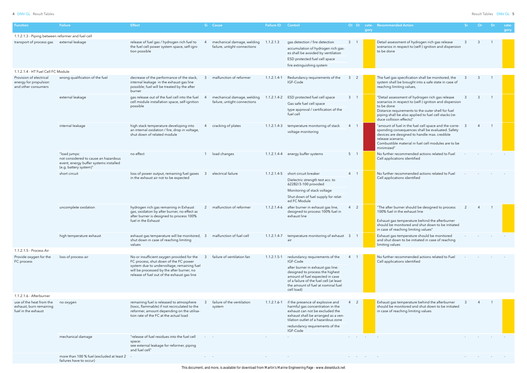| <b>Function</b>                                                            | Failure                                                                                                                  | <b>Effect</b>                                                                                                                                                                     |                         | Si Cause                                                   | <b>Failure ID Control</b> |                                                                                                                                                                                                                                     |                | gory           | Oi Di cate- Recommended Action                                                                                                                                                                                                                                     | <b>Sr</b> | Or             | Dr                         | cate-<br>gory |
|----------------------------------------------------------------------------|--------------------------------------------------------------------------------------------------------------------------|-----------------------------------------------------------------------------------------------------------------------------------------------------------------------------------|-------------------------|------------------------------------------------------------|---------------------------|-------------------------------------------------------------------------------------------------------------------------------------------------------------------------------------------------------------------------------------|----------------|----------------|--------------------------------------------------------------------------------------------------------------------------------------------------------------------------------------------------------------------------------------------------------------------|-----------|----------------|----------------------------|---------------|
| 1.1.2.1.3 - Piping between reformer and fuel cell                          |                                                                                                                          |                                                                                                                                                                                   |                         |                                                            |                           |                                                                                                                                                                                                                                     |                |                |                                                                                                                                                                                                                                                                    |           |                |                            |               |
| transport of process gas external leakage                                  |                                                                                                                          | release of fuel gas / hydrogen rich fuel to<br>the fuel cell power system space, self-igni-<br>tion possible                                                                      |                         | mechanical damage, welding<br>failure, untight connections | 1.1.2.1.3                 | gas detection / fire detection<br>accumulation of hydrogen rich gas-<br>es shall be avoided by ventilation<br>ESD protected fuel cell space<br>fire extinguishing system                                                            | 3              |                | Detail assessment of hydrogen rich gas release<br>scenarios in respect to (self-) ignition and dispersion<br>to be done                                                                                                                                            |           | 3              |                            |               |
| 1.1.2.1.4 - HT Fuel Cell FC Module                                         |                                                                                                                          |                                                                                                                                                                                   |                         |                                                            |                           |                                                                                                                                                                                                                                     |                |                |                                                                                                                                                                                                                                                                    |           |                |                            |               |
| Provision of electrical<br>energy for propulsion<br>and other consumers    | wrong qualification of the fuel                                                                                          | decrease of the performance of the stack,<br>internal leakage in the exhaust gas line<br>possible; fuel will be treated by the after<br>burner                                    |                         | malfunction of reformer                                    | $1.1.2.1.4-1$             | Redundancy requirements of the<br>IGF-Code                                                                                                                                                                                          | 3              |                | The fuel gas specification shall be monitored, the<br>system shall be brought into a safe state in case of<br>reaching limiting values,                                                                                                                            |           |                |                            |               |
|                                                                            | external leakage                                                                                                         | gas release out of the fuel cell into the fuel<br>cell module installation space, self-ignition<br>possible                                                                       |                         | mechanical damage, welding<br>failure, untight connections | 1.1.2.1.4-2               | ESD protected fuel cell space<br>Gas safe fuel cell space<br>type approval / certification of the<br>fuel cell                                                                                                                      | 3              |                | "Detail assessment of hydrogen rich gas release<br>scenarios in respect to (self-) ignition and dispersion<br>to be done<br>Distance requirements to the outer shell for fuel<br>piping shall be also applied to fuel cell stacks (re-<br>duce collision effects)" |           | 3              |                            |               |
|                                                                            | internal leakage                                                                                                         | high stack temperature developing into<br>an internal oxidation / fire, drop in voltage,<br>shut down of related module                                                           |                         | cracking of plates                                         | 1.1.2.1.4-3               | temperature monitoring of stack<br>voltage monitoring                                                                                                                                                                               | $\overline{4}$ |                | "amount of fuel in the fuel cell space and the corre-<br>3<br>sponding consequences shall be evaluated. Safety<br>devices are designed to handle max. credible<br>release scenario.<br>Combustible material in fuel cell modules are to be<br>minimized"           |           | $\overline{4}$ | $\overline{\phantom{0}}$ 1 |               |
|                                                                            | "load jumps:<br>not considered to cause an hazardous<br>event, energy buffer systems installed<br>(e.g. battery system)" | no effect                                                                                                                                                                         |                         | load changes                                               |                           | 1.1.2.1.4-4 energy buffer systems                                                                                                                                                                                                   | 5 <sub>1</sub> |                | No further recommended actions related to Fuel<br>Cell applications identified                                                                                                                                                                                     |           |                |                            |               |
|                                                                            | short circuit                                                                                                            | loss of power output, remaining fuel gases<br>in the exhaust air not to be expected                                                                                               | -3                      | electrical failure                                         |                           | 1.1.2.1.4-5 short circuit breaker<br>Dielectric strength test acc. to<br>62282/3-100 provided                                                                                                                                       | $4 \quad 1$    |                | No further recommended actions related to Fuel<br>Cell applications identified                                                                                                                                                                                     |           |                |                            |               |
|                                                                            |                                                                                                                          |                                                                                                                                                                                   |                         |                                                            |                           | Monitoring of stack voltage<br>Shut down of fuel supply for relat-<br>ed FC Module                                                                                                                                                  |                |                |                                                                                                                                                                                                                                                                    |           |                |                            |               |
|                                                                            | uncomplete oxidation                                                                                                     | hydrogen rich gas remaining in Exhaust<br>gas, oxidation by after burner, no effect as<br>after burner is designed to process 100%<br>fuel in the Exhaust                         |                         | 2 malfunction of reformer                                  | $1.1.2.1.4 - 6$           | after burner in exhaust gas line,<br>designed to process 100% fuel in<br>exhaust line                                                                                                                                               | $4\quad 2$     |                | "The after burner should be designed to process<br>100% fuel in the exhaust line<br>Exhaust gas temperature behind the afterburner<br>should be monitored and shut down to be initiated<br>in case of reaching limiting values"                                    | 2         |                |                            |               |
|                                                                            | high temperature exhaust                                                                                                 | exhaust gas temperature will be monitored, 3<br>shut down in case of reaching limiting<br>values                                                                                  |                         | malfunction of fuel cell                                   |                           | 1.1.2.1.4-7 temperature monitoring of exhaust 3<br>air                                                                                                                                                                              |                |                | Exhaust gas temperature should be monitored<br>and shut down to be initiated in case of reaching<br>limiting values                                                                                                                                                |           |                |                            |               |
| 1.1.2.1.5 - Process Air                                                    |                                                                                                                          |                                                                                                                                                                                   |                         |                                                            |                           |                                                                                                                                                                                                                                     |                |                |                                                                                                                                                                                                                                                                    |           |                |                            |               |
| Provide oxygen for the<br>FC process                                       | loss of process air                                                                                                      | No or insufficient oxygen provided for the<br>FC process, shut down of the FC power<br>system due to undervoltage, remaining fuel<br>will be processed by the after burner, no    |                         | failure of ventilation fan                                 | $1.1.2.1.5 - 1$           | redundancy requirements of the<br>IGF-Code<br>after burner in exhaust gas line:<br>designed to process the highest                                                                                                                  |                |                | No further recommended actions related to Fuel<br>Cell applications identified                                                                                                                                                                                     |           |                |                            |               |
|                                                                            |                                                                                                                          | release of fuel out of the exhaust gas line                                                                                                                                       |                         |                                                            |                           | amount of fuel expected in case<br>of a failure of the fuel cell (at least<br>the amount of fuel at nominal fuel<br>cell load)                                                                                                      |                |                |                                                                                                                                                                                                                                                                    |           |                |                            |               |
| 1.1.2.1.6 - Afterburner                                                    |                                                                                                                          |                                                                                                                                                                                   |                         |                                                            |                           |                                                                                                                                                                                                                                     |                |                |                                                                                                                                                                                                                                                                    |           |                |                            |               |
| use of the heat from the<br>exhaust, burn remaining<br>fuel in the exhaust | no oxygen                                                                                                                | remaining fuel is released to atmosphere<br>(toxic, flammable) if not recirculated to the<br>reformer, amount depending on the utilisa-<br>tion rate of the FC at the actual load |                         | failure of the ventilation<br>system                       | $1.1.2.1.6 - 1$           | if the presence of explosive and<br>harmful gas concentration in the<br>exhaust can not be excluded the<br>exhaust shall be arranged as a ven-<br>tilation outlet of a hazardous zone<br>redundancy requirements of the<br>IGF-Code | $\overline{4}$ |                | Exhaust gas temperature behind the afterburner<br>should be monitored and shut down to be initiated<br>in case of reaching limiting values                                                                                                                         |           |                |                            |               |
|                                                                            | mechanical damage                                                                                                        | "release of fuel residues into the fuel cell<br>space:<br>see external leakage for reformer, piping<br>and fuel cell"                                                             | $\omega_{\rm{max}}=0.5$ |                                                            |                           |                                                                                                                                                                                                                                     | and the state  | $\sim$ $ \sim$ |                                                                                                                                                                                                                                                                    |           |                |                            |               |
|                                                                            | more than 100 % fuel (excluded at least 2<br>failures have to occur)                                                     |                                                                                                                                                                                   | <b>All Contract</b>     |                                                            |                           |                                                                                                                                                                                                                                     |                |                |                                                                                                                                                                                                                                                                    |           |                |                            |               |

This document, and more, is available for download from Martin's Marine Engineering Page - www.dieselduck.net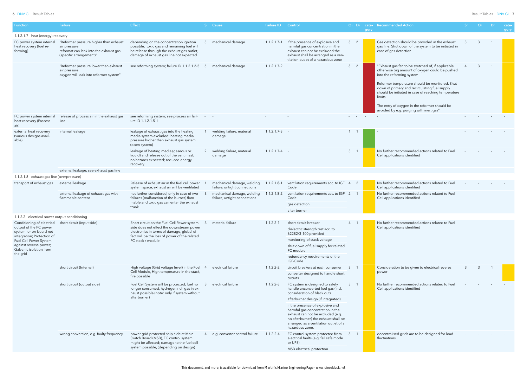| <b>Function</b>                                                                 | <b>Failure</b>                                                                                                               | <b>Effect</b>                                                                                                                                                                   |     | Si Cause                                                   | <b>Failure ID</b> | Control                                                                                                                                                                                                                                             |                | Oi Di                | cate-<br>gory    | <b>Recommended Action</b>                                                                                                                                                                                                                                                                                                                                                                          | <b>Sr</b> | Or | -Dr            | cate-<br>gory |
|---------------------------------------------------------------------------------|------------------------------------------------------------------------------------------------------------------------------|---------------------------------------------------------------------------------------------------------------------------------------------------------------------------------|-----|------------------------------------------------------------|-------------------|-----------------------------------------------------------------------------------------------------------------------------------------------------------------------------------------------------------------------------------------------------|----------------|----------------------|------------------|----------------------------------------------------------------------------------------------------------------------------------------------------------------------------------------------------------------------------------------------------------------------------------------------------------------------------------------------------------------------------------------------------|-----------|----|----------------|---------------|
| 1.1.2.1.7 - heat (energy) recovery                                              |                                                                                                                              |                                                                                                                                                                                 |     |                                                            |                   |                                                                                                                                                                                                                                                     |                |                      |                  |                                                                                                                                                                                                                                                                                                                                                                                                    |           |    |                |               |
| FC power system internal<br>heat recovery (fuel re-<br>forming)                 | "Reformer pressure higher than exhaust<br>air pressure:<br>reformat can leak into the exhaust gas<br>(specific arrangement)" | depending on the concentration ignition<br>possible, toxic gas and remaining fuel will<br>be release through the exhaust gas outlet,<br>damage of exhaust gas line not expected |     | mechanical damage                                          | $1.1.2.1.7 - 1$   | if the presence of explosive and<br>harmful gas concentration in the<br>exhaust can not be excluded the<br>exhaust shall be arranged as a ven-<br>tilation outlet of a hazardous zone                                                               |                | $3 \quad 2$          |                  | Gas detection should be provided in the exhaust<br>gas line. Shut down of the system to be initiated in<br>case of gas detection.                                                                                                                                                                                                                                                                  |           | 3  |                |               |
|                                                                                 | "Reformer pressure lower than exhaust<br>air pressure:<br>oxygen will leak into reformer system"                             | see reforming system; failure ID 1.1.2.1.2-5                                                                                                                                    | - 5 | mechanical damage                                          | $1.1.2.1.7 - 2$   |                                                                                                                                                                                                                                                     |                | 3 <sup>2</sup>       |                  | "Exhaust gas fan to be switched of, if applicable,<br>otherwise big amount of oxygen could be pushed<br>into the reforming system<br>Reformer temperature should be monitored. Shut<br>down of primary and recirculating fuel supply<br>should be initiated in case of reaching temperature<br>limits.<br>The entry of oxygen in the reformer should be<br>avoided by e.g. purging with inert gas" |           | 3  | $\overline{1}$ |               |
| FC power system internal<br>heat recovery (Process<br>air)                      | release of process air in the exhaust gas<br>line                                                                            | see reforming system; see process air fail-<br>ure ID 1.1.2.1.5-1                                                                                                               |     |                                                            |                   |                                                                                                                                                                                                                                                     |                | <b>Service</b> State | $\sim$ 100 $\pm$ |                                                                                                                                                                                                                                                                                                                                                                                                    |           |    |                |               |
| external heat recovery<br>(various designs avail-<br>able)                      | internal leakage                                                                                                             | leakage of exhaust gas into the heating<br>media system excluded: heating media<br>pressure higher than exhaust gas system<br>(open system)                                     |     | welding failure, material<br>damage                        | $1.1.2.1.7-3$ -   |                                                                                                                                                                                                                                                     |                |                      |                  |                                                                                                                                                                                                                                                                                                                                                                                                    |           |    |                |               |
|                                                                                 |                                                                                                                              | leakage of heating media (gaseous or<br>liquid) and release out of the vent mast;<br>no hazards expected; reduced energy<br>recovery                                            |     | welding failure, material<br>damage                        | $1.1.2.1.7 - 4 -$ |                                                                                                                                                                                                                                                     |                | $3 \quad 1$          |                  | No further recommended actions related to Fuel<br>Cell applications identified                                                                                                                                                                                                                                                                                                                     |           |    |                |               |
|                                                                                 | external leakage; see exhaust gas line                                                                                       |                                                                                                                                                                                 |     |                                                            |                   |                                                                                                                                                                                                                                                     |                |                      |                  |                                                                                                                                                                                                                                                                                                                                                                                                    |           |    |                |               |
| 1.1.2.1.8 - exhaust gas line (overpressure)                                     |                                                                                                                              |                                                                                                                                                                                 |     |                                                            |                   |                                                                                                                                                                                                                                                     |                |                      |                  |                                                                                                                                                                                                                                                                                                                                                                                                    |           |    |                |               |
| transport of exhaust gas external leakage                                       |                                                                                                                              | Release of exhaust air in the fuel cell power<br>system space, exhaust air will be ventilated                                                                                   |     | mechanical damage, welding<br>failure, untight connections | $1.1.2.1.8-1$     | ventilation requirements acc. to IGF 4<br>Code                                                                                                                                                                                                      |                | $\overline{2}$       |                  | No further recommended actions related to Fuel<br>Cell applications identified                                                                                                                                                                                                                                                                                                                     |           |    |                |               |
|                                                                                 | external leakage of exhaust gas with<br>flammable content                                                                    | not further considered, only in case of two<br>failures (malfunction of the burner) flam-                                                                                       |     | mechanical damage, welding<br>failure, untight connections | $1.1.2.1.8 - 2$   | ventilation requirements acc. to IGF 2<br>Code                                                                                                                                                                                                      |                |                      |                  | No further recommended actions related to Fuel<br>Cell applications identified                                                                                                                                                                                                                                                                                                                     |           |    |                |               |
|                                                                                 |                                                                                                                              | mable and toxic gas can enter the exhaust<br>trunk                                                                                                                              |     |                                                            |                   | gas detection<br>after burner                                                                                                                                                                                                                       |                |                      |                  |                                                                                                                                                                                                                                                                                                                                                                                                    |           |    |                |               |
| 1.1.2.2 - electrical power output conditioning                                  |                                                                                                                              |                                                                                                                                                                                 |     |                                                            |                   |                                                                                                                                                                                                                                                     |                |                      |                  |                                                                                                                                                                                                                                                                                                                                                                                                    |           |    |                |               |
| Conditioning of electrical<br>output of the FC power                            | short circuit (input side)                                                                                                   | Short circuit on the Fuel Cell Power system<br>side does not effect the downstream power                                                                                        |     | material failure                                           | $1.1.2.2 - 1$     | short circuit breaker<br>dielectric strength test acc. to                                                                                                                                                                                           | $\overline{4}$ |                      |                  | No further recommended actions related to Fuel<br>Cell applications identified                                                                                                                                                                                                                                                                                                                     |           |    |                |               |
| system for on-board net<br>integration; Protection of<br>Fuel Cell Power System |                                                                                                                              | electronics in terms of damage, global ef-<br>fect will be the loss of power of the related<br>FC stack / module                                                                |     |                                                            |                   | 62282/3-100 provided<br>monitoring of stack voltage                                                                                                                                                                                                 |                |                      |                  |                                                                                                                                                                                                                                                                                                                                                                                                    |           |    |                |               |
| against reverse power;<br>Galvanic isolation from                               |                                                                                                                              |                                                                                                                                                                                 |     |                                                            |                   | shut down of fuel supply for related<br>FC module                                                                                                                                                                                                   |                |                      |                  |                                                                                                                                                                                                                                                                                                                                                                                                    |           |    |                |               |
| the grid                                                                        |                                                                                                                              |                                                                                                                                                                                 |     |                                                            |                   | redundancy requirements of the<br>IGF-Code                                                                                                                                                                                                          |                |                      |                  |                                                                                                                                                                                                                                                                                                                                                                                                    |           |    |                |               |
|                                                                                 | short circuit (Internal)                                                                                                     | High voltage (Grid voltage level) in the Fuel                                                                                                                                   | -4  | electrical failure                                         | $1.1.2.2 - 2$     | circuit breakers at each consumer                                                                                                                                                                                                                   | 3              |                      |                  | Consideration to be given to electrical reveres                                                                                                                                                                                                                                                                                                                                                    | 3         | 3  |                |               |
|                                                                                 |                                                                                                                              | Cell Module, High temperature in the stack,<br>fire possible                                                                                                                    |     |                                                            |                   | converter designed to handle short<br>circuits                                                                                                                                                                                                      |                |                      |                  | power                                                                                                                                                                                                                                                                                                                                                                                              |           |    |                |               |
|                                                                                 | short circuit (output side)                                                                                                  | Fuel Cell System will be protected, fuel no<br>longer consumed, hydrogen rich gas in ex-<br>haust possible (note: only if system without                                        |     | electrical failure                                         | $1.1.2.2 - 3$     | FC system is designed to safely<br>handle unconverted fuel gas (incl.<br>consideration of black out)                                                                                                                                                |                | $3 \quad 1$          |                  | No further recommended actions related to Fuel<br>Cell applications identified                                                                                                                                                                                                                                                                                                                     |           |    |                |               |
|                                                                                 |                                                                                                                              | afterburner)                                                                                                                                                                    |     |                                                            |                   | afterburner design (if integrated)<br>if the presence of explosive and<br>harmful gas concentration in the<br>exhaust can not be excluded (e.g.<br>no afterburner) the exhaust shall be<br>arranged as a ventilation outlet of a<br>hazardous zone. |                |                      |                  |                                                                                                                                                                                                                                                                                                                                                                                                    |           |    |                |               |
|                                                                                 | wrong conversion, e.g. faulty frequency                                                                                      | power grid protected ship-side at Main<br>Switch Board (MSB), FC control system<br>might be affected; damage to the fuel cell<br>system possible, (depending on design)         |     | e.g. converter control failure                             | $1.1.2.2 - 4$     | FC control system protected from 3 1<br>electrical faults (e.g. fail safe mode<br>or UPS)<br>MSB electrical protection                                                                                                                              |                |                      |                  | decentralised grids are to be designed for load<br>fluctuations                                                                                                                                                                                                                                                                                                                                    |           |    |                |               |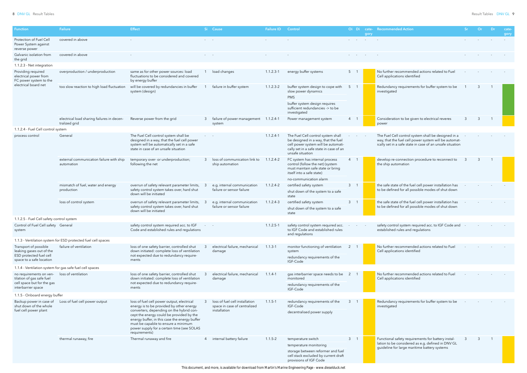| <b>Function</b>                                                                                          | <b>Failure</b>                                                | <b>Effect</b>                                                                                                                                                                                                                                                                           |                      | Si Cause                                                 | <b>Failure ID</b> | Control                                                                                                                                                                         |                 | Oi Di | gory                            | cate- Recommended Action                                                                                                                                                  | Or | ⊟Dr. | cate<br>gory |
|----------------------------------------------------------------------------------------------------------|---------------------------------------------------------------|-----------------------------------------------------------------------------------------------------------------------------------------------------------------------------------------------------------------------------------------------------------------------------------------|----------------------|----------------------------------------------------------|-------------------|---------------------------------------------------------------------------------------------------------------------------------------------------------------------------------|-----------------|-------|---------------------------------|---------------------------------------------------------------------------------------------------------------------------------------------------------------------------|----|------|--------------|
| Protection of Fuel Cell<br>Power System against<br>reverse power                                         | covered in above                                              |                                                                                                                                                                                                                                                                                         | <b>Service</b> State |                                                          |                   |                                                                                                                                                                                 |                 |       | the contract of the contract of |                                                                                                                                                                           |    |      |              |
| Galvanic isolation from<br>the grid                                                                      | covered in above                                              |                                                                                                                                                                                                                                                                                         |                      |                                                          |                   |                                                                                                                                                                                 |                 |       |                                 |                                                                                                                                                                           |    |      |              |
| 1.1.2.3 - Net integration                                                                                |                                                               |                                                                                                                                                                                                                                                                                         |                      |                                                          |                   |                                                                                                                                                                                 |                 |       |                                 |                                                                                                                                                                           |    |      |              |
| Providing required<br>electrical power from<br>FC power system to the                                    | overproduction / underproduction                              | same as for other power sources: load<br>fluctuations to be considered and covered<br>by energy buffer                                                                                                                                                                                  |                      | load changes                                             | $1.1.2.3 - 1$     | energy buffer systems                                                                                                                                                           | 5 <sub>1</sub>  |       |                                 | No further recommended actions related to Fuel<br>Cell applications identified                                                                                            |    |      |              |
| electrical board net                                                                                     | too slow reaction to high load fluctuation                    | will be covered by redundancies in buffer<br>system (design)                                                                                                                                                                                                                            |                      | failure in buffer system                                 | $1.1.2.3 - 2$     | buffer system design to cope with<br>slow power dynamics<br><b>PMS</b><br>buffer system design requires<br>sufficient redundancies -> to be<br>investigated                     | 5 <sup>5</sup>  |       |                                 | Redundancy requirements for buffer system to be<br>investigated                                                                                                           |    |      |              |
|                                                                                                          | electrical load sharing failures in decen-<br>tralized grid   | Reverse power from the grid                                                                                                                                                                                                                                                             | 3                    | failure of power management 1.1.2.4-1<br>system          |                   | Power management system                                                                                                                                                         | $4\overline{ }$ |       |                                 | Consideration to be given to electrical reveres<br>power                                                                                                                  |    |      |              |
| 1.1.2.4 - Fuel Cell control system                                                                       |                                                               |                                                                                                                                                                                                                                                                                         |                      |                                                          |                   |                                                                                                                                                                                 |                 |       |                                 |                                                                                                                                                                           |    |      |              |
| process control                                                                                          | General                                                       | The Fuel Cell control system shall be<br>designed in a way, that the fuel cell power<br>system will be automatically set in a safe<br>state in case of an unsafe situation                                                                                                              |                      |                                                          | $1.1.2.4 - 1$     | The Fuel Cell control system shall<br>be designed in a way, that the fuel<br>cell power system will be automati-<br>cally set in a safe state in case of an<br>unsafe situation |                 |       |                                 | The Fuel Cell control system shall be designed in a<br>way, that the fuel cell power system will be automat-<br>ically set in a safe state in case of an unsafe situation |    |      |              |
|                                                                                                          | external communication failure with ship<br>automation        | temporary over- or underproduction;<br>following the net                                                                                                                                                                                                                                |                      | loss of communication link to<br>ship automation         | $1.1.2.4 - 2$     | FC system has internal process<br>control (follow the net) (system<br>must maintain safe state or bring<br>itself into a safe state)<br>no-communication alarm                  |                 |       |                                 | develop re-connection procedure to reconnect to<br>the ship automation                                                                                                    |    |      |              |
|                                                                                                          | mismatch of fuel, water and energy                            | overrun of safety relevant parameter limits,                                                                                                                                                                                                                                            |                      | e.g. internal communication                              | $1.1.2.4 - 2$     | certified safety system                                                                                                                                                         | 3 <sup>7</sup>  |       |                                 | the safe state of the fuel cell power installation has                                                                                                                    |    |      |              |
|                                                                                                          | production                                                    | safety control system takes over, hard shut<br>down will be initiated                                                                                                                                                                                                                   |                      | failure or sensor failure                                |                   | shut down of the system to a safe<br>state                                                                                                                                      |                 |       |                                 | to be defined for all possible modes of shut down                                                                                                                         |    |      |              |
|                                                                                                          | loss of control system                                        | overrun of safety relevant parameter limits, 3<br>safety control system takes over, hard shut<br>down will be initiated                                                                                                                                                                 |                      | e.g. internal communication<br>failure or sensor failure | $1.1.2.4 - 3$     | certified safety system<br>shut down of the system to a safe<br>state                                                                                                           | $3 \quad 1$     |       |                                 | the safe state of the fuel cell power installation has<br>to be defined for all possible modes of shut down                                                               |    |      |              |
| 1.1.2.5 - Fuel Cell safety control system                                                                |                                                               |                                                                                                                                                                                                                                                                                         |                      |                                                          |                   |                                                                                                                                                                                 |                 |       |                                 |                                                                                                                                                                           |    |      |              |
| Control of Fuel Cell safety General<br>system                                                            |                                                               | safety control system required acc. to IGF<br>Code and established rules and regulations                                                                                                                                                                                                |                      |                                                          | $1.1.2.5 - 1$     | safety control system required acc.<br>to IGF Code and established rules<br>and regulations                                                                                     |                 |       |                                 | safety control system required acc. to IGF Code and<br>established rules and regulations                                                                                  |    |      |              |
|                                                                                                          | 1.1.3 - Ventilation system for ESD protected fuel cell spaces |                                                                                                                                                                                                                                                                                         |                      |                                                          |                   |                                                                                                                                                                                 |                 |       |                                 |                                                                                                                                                                           |    |      |              |
| Transport of possible<br>leaking gases out of the<br>ESD protected fuel cell<br>space to a safe location | failure of ventilation                                        | loss of one safety barrier, controlled shut<br>down initiated: complete loss of ventilation<br>not expected due to redundancy require-<br>ments                                                                                                                                         |                      | electrical failure, mechanical<br>damage                 | $1.1.3 - 1$       | monitor functioning of ventilation<br>system<br>redundancy requirements of the<br>IGF-Code                                                                                      |                 |       |                                 | No further recommended actions related to Fuel<br>Cell applications identified                                                                                            |    |      |              |
| 1.1.4 - Ventilation system for gas safe fuel cell spaces                                                 |                                                               |                                                                                                                                                                                                                                                                                         |                      |                                                          |                   |                                                                                                                                                                                 |                 |       |                                 |                                                                                                                                                                           |    |      |              |
| no requirements on ven-<br>tilation of gas safe fuel<br>cell space but for the gas<br>interbarrier space | loss of ventilation                                           | loss of one safety barrier, controlled shut<br>down initiated: complete loss of ventilation<br>not expected due to redundancy require-<br>ments                                                                                                                                         |                      | electrical failure, mechanical<br>damage                 | $1.1.4 - 1$       | gas interbarrier space needs to be<br>monitored<br>redundancy requirements of the<br>IGF-Code                                                                                   |                 |       |                                 | No further recommended actions related to Fuel<br>Cell applications identified                                                                                            |    |      |              |
|                                                                                                          |                                                               |                                                                                                                                                                                                                                                                                         |                      |                                                          |                   |                                                                                                                                                                                 |                 |       |                                 |                                                                                                                                                                           |    |      |              |
| 1.1.5 - Onboard energy buffer<br>Backup power in case of                                                 | Loss of fuel cell power output                                | loss of fuel cell power output, electrical                                                                                                                                                                                                                                              |                      | loss of fuel cell installation                           | $1.1.5 - 1$       | redundancy requirements of the                                                                                                                                                  |                 |       |                                 | Redundancy requirements for buffer system to be                                                                                                                           |    |      |              |
| shut down of the whole<br>fuel cell power plant                                                          |                                                               | energy is to be provided by other energy<br>converters, depending on the hybrid con-<br>cept the energy could be provided by the<br>energy buffer, in this case the energy buffer<br>must be capable to ensure a minimum<br>power supply for a certain time (see SOLAS<br>requirements) |                      | space in case of centralized<br>installation             |                   | IGF-Code<br>decentralised power supply                                                                                                                                          |                 |       |                                 | investigated                                                                                                                                                              |    |      |              |
|                                                                                                          | thermal runaway, fire                                         | Thermal runaway and fire                                                                                                                                                                                                                                                                |                      | 4 internal battery failure                               | $1.1.5 - 2$       | temperature switch                                                                                                                                                              | $3 \quad 1$     |       |                                 | Functional safety requirements for battery instal-                                                                                                                        |    |      |              |
|                                                                                                          |                                                               |                                                                                                                                                                                                                                                                                         |                      |                                                          |                   | temperature monitoring                                                                                                                                                          |                 |       |                                 | lation to be considered as e.g. defined in DNV GL<br>guideline for large maritime battery systems                                                                         |    |      |              |
|                                                                                                          |                                                               |                                                                                                                                                                                                                                                                                         |                      |                                                          |                   | storage between reformer and fuel<br>cell stack excluded by current draft<br>provisions of IGF Code                                                                             |                 |       |                                 |                                                                                                                                                                           |    |      |              |

This document, and more, is available for download from Martin's Marine Engineering Page - www.dieselduck.net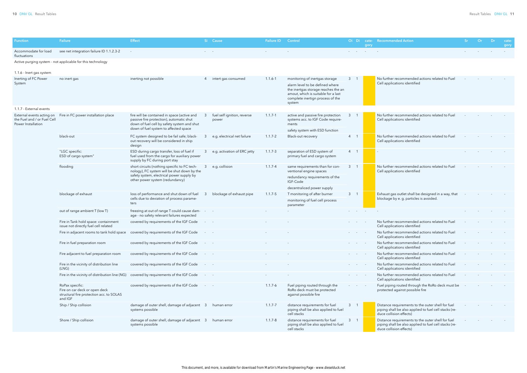| unction <sup>.</sup>                                                           | <b>Failure</b>                                                                                          | <b>Effect</b>                                                                                                                                                                   | Si Cause                             | <b>Failure ID</b> | Control                                                                                                                                                                                       | Oi Di                    | gory                     | cate- Recommended Action                                                                                                              | <b>Sr</b> | Or | - Dr | cate-<br>gory |
|--------------------------------------------------------------------------------|---------------------------------------------------------------------------------------------------------|---------------------------------------------------------------------------------------------------------------------------------------------------------------------------------|--------------------------------------|-------------------|-----------------------------------------------------------------------------------------------------------------------------------------------------------------------------------------------|--------------------------|--------------------------|---------------------------------------------------------------------------------------------------------------------------------------|-----------|----|------|---------------|
| Accommodate for load<br>fluctuations                                           | see net integration failure ID 1.1.2.3-2                                                                | $\sim$                                                                                                                                                                          | and the state                        |                   |                                                                                                                                                                                               | <b>Service State</b>     | <b>Contract Contract</b> |                                                                                                                                       |           |    |      |               |
|                                                                                | Active purging system - not applicable for this technology                                              |                                                                                                                                                                                 |                                      |                   |                                                                                                                                                                                               |                          |                          |                                                                                                                                       |           |    |      |               |
| 1.1.6 - Inert gas system<br>Inerting of FC Power<br>System                     | no inert gas                                                                                            | inerting not possible                                                                                                                                                           | intert gas consumed                  | $1.1.6 - 1$       | monitoring of inertgas storage<br>alarm level to be defined where<br>the inertgas storage reaches the an<br>amout, which is suitable for a last<br>complete inertign process of the<br>system | 3 <sup>1</sup>           |                          | No further recommended actions related to Fuel<br>Cell applications identified                                                        |           |    |      |               |
| 1.1.7 - External events                                                        |                                                                                                         |                                                                                                                                                                                 |                                      |                   |                                                                                                                                                                                               |                          |                          |                                                                                                                                       |           |    |      |               |
| External events acting on<br>the Fuel and / or Fuel Cell<br>Power Installation | Fire in FC power installation place                                                                     | fire will be contained in space (active and<br>passive fire protection), automatic shut<br>down of fuel cell by safety system and shut<br>down of fuel system to affected space | fuel self ignition, reverse<br>power | $1.1.7 - 1$       | active and passive fire protection<br>systems acc. to IGF Code require-<br>ments<br>safety system with ESD function                                                                           | 3                        |                          | No further recommended actions related to Fuel<br>Cell applications identified                                                        |           |    |      |               |
|                                                                                | black-out                                                                                               | FC system designed to be fail safe; black-<br>out recovery will be considered in ship<br>design                                                                                 | e.g. electrical net failure          | $1.1.7 - 2$       | Black-out recovery                                                                                                                                                                            | $\overline{4}$           |                          | No further recommended actions related to Fuel<br>Cell applications identified                                                        |           |    |      |               |
|                                                                                | "LGC specific:<br>ESD of cargo system"                                                                  | ESD during cargo transfer, loss of fuel if<br>fuel used from the cargo for auxiliary power<br>supply by FC during port stay                                                     | e.g. activation of ERC jetty         | $1.1.7 - 3$       | separation of ESD system of<br>primary fuel and cargo system                                                                                                                                  | $4 \quad 1$              |                          |                                                                                                                                       |           |    |      |               |
|                                                                                | flooding                                                                                                | short circuits (nothing specific to FC tech-<br>nology), FC system will be shut down by the<br>safety system, electrical power supply by                                        | e.g. collision<br>3                  | $1.1.7 - 4$       | same requirements than for con-<br>ventional engine spaces<br>redundancy requirements of the                                                                                                  | 3                        |                          | No further recommended actions related to Fuel<br>Cell applications identified                                                        |           |    |      |               |
|                                                                                | blockage of exhaust                                                                                     | other power system (redundancy)<br>loss of performance and shut down of fuel                                                                                                    | blockage of exhaust pipe<br>3        | $1.1.7 - 5$       | IGF-Code<br>decentraliced power supply<br>T monitoring of after burner                                                                                                                        | $3 \quad 1$              |                          | Exhaust gas outlet shall be designed in a way, that                                                                                   |           |    |      |               |
|                                                                                |                                                                                                         | cells due to deviation of process parame-<br>ters                                                                                                                               |                                      |                   | monitoring of fuel cell process<br>parameter                                                                                                                                                  |                          |                          | blockage by e. g. particles is avoided.                                                                                               |           |    |      |               |
|                                                                                | out of range ambient T (low T)                                                                          | freezing at out of range T could cause dam-<br>age - no safety relevant failures expected                                                                                       |                                      |                   |                                                                                                                                                                                               | <b>Service</b> State     | $\sim$                   |                                                                                                                                       |           |    |      |               |
|                                                                                | Fire in Tank hold space: containment<br>issue not directly fuel cell related                            | covered by requirements of the IGF Code                                                                                                                                         |                                      |                   |                                                                                                                                                                                               |                          |                          | No further recommended actions related to Fuel<br>Cell applications identified                                                        |           |    |      |               |
|                                                                                | Fire in adjacent rooms to tank hold space                                                               | covered by requirements of the IGF Code                                                                                                                                         |                                      |                   |                                                                                                                                                                                               | <b>Service State</b>     | $\sim$ $-$               | No further recommended actions related to Fuel<br>Cell applications identified                                                        |           |    |      |               |
|                                                                                | Fire in fuel preparation room                                                                           | covered by requirements of the IGF Code                                                                                                                                         |                                      |                   |                                                                                                                                                                                               |                          |                          | No further recommended actions related to Fuel<br>Cell applications identified                                                        |           |    |      |               |
|                                                                                | Fire adjacent to fuel preparation room                                                                  | covered by requirements of the IGF Code                                                                                                                                         | and the                              |                   |                                                                                                                                                                                               | and the state of the     |                          | No further recommended actions related to Fuel<br>Cell applications identified                                                        |           |    |      |               |
|                                                                                | Fire in the vicinity of distribution line<br>(LNG)                                                      | covered by requirements of the IGF Code                                                                                                                                         | and the                              |                   |                                                                                                                                                                                               |                          |                          | No further recommended actions related to Fuel<br>Cell applications identified                                                        |           |    |      |               |
|                                                                                | Fire in the vicinity of distribution line (NG)                                                          | covered by requirements of the IGF Code                                                                                                                                         |                                      |                   |                                                                                                                                                                                               |                          |                          | No further recommended actions related to Fuel<br>Cell applications identified                                                        |           |    |      |               |
|                                                                                | RoPax specific:<br>Fire on car deck or open deck<br>structural fire protection acc. to SOLAS<br>and IGF | covered by requirements of the IGF Code                                                                                                                                         | and the                              | $1.1.7 - 6$       | Fuel piping routed through the<br>RoRo deck must be protected<br>against possible fire                                                                                                        | <b>Contract Contract</b> |                          | Fuel piping routed through the RoRo deck must be<br>protected against possible fire                                                   |           |    |      |               |
|                                                                                | Ship / Ship collision                                                                                   | damage of outer shell, damage of adjacent 3<br>systems possible                                                                                                                 | human error                          | $1.1.7 - 7$       | distance requirements for fuel<br>piping shall be also applied to fuel<br>cell stacks                                                                                                         | 3 <sup>1</sup>           |                          | Distance requirements to the outer shell for fuel<br>piping shall be also applied to fuel cell stacks (re-<br>duce collision effects) |           |    |      |               |
|                                                                                | Shore / Ship collision                                                                                  | damage of outer shell, damage of adjacent 3<br>systems possible                                                                                                                 | human error                          | $1.1.7 - 8$       | distance requirements for fuel<br>piping shall be also applied to fuel<br>cell stacks                                                                                                         | 3 <sup>1</sup>           |                          | Distance requirements to the outer shell for fuel<br>piping shall be also applied to fuel cell stacks (re-<br>duce collision effects) |           |    |      |               |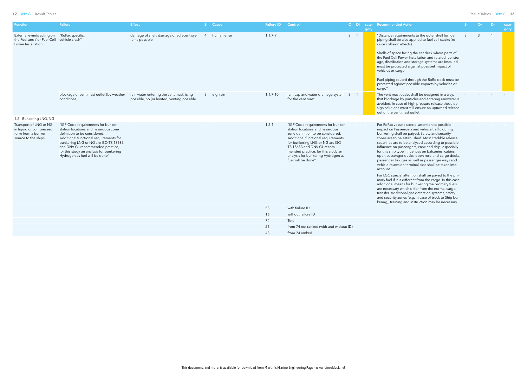| <b>Function</b>                                                                                | <b>Failure</b>                                                                                                                                                                                                                                                                                                | <b>Effect</b>                                                                          | Si Cause      | <b>Failure ID</b> | Control                                                                                                                                                                                                                                                                                                            | Oi Di cate- | gory | <b>Recommended Action</b>                                                                                                                                                                                                                                                                                                                                                                                                                                                                                                                               | Sr <sub>2</sub> | Or           | Dr             | cate-<br>gory |
|------------------------------------------------------------------------------------------------|---------------------------------------------------------------------------------------------------------------------------------------------------------------------------------------------------------------------------------------------------------------------------------------------------------------|----------------------------------------------------------------------------------------|---------------|-------------------|--------------------------------------------------------------------------------------------------------------------------------------------------------------------------------------------------------------------------------------------------------------------------------------------------------------------|-------------|------|---------------------------------------------------------------------------------------------------------------------------------------------------------------------------------------------------------------------------------------------------------------------------------------------------------------------------------------------------------------------------------------------------------------------------------------------------------------------------------------------------------------------------------------------------------|-----------------|--------------|----------------|---------------|
| External events acting on<br>the Fuel and / or Fuel Cell<br>Power Installation                 | "RoPax specific:<br>vehicle crash"                                                                                                                                                                                                                                                                            | damage of shell, damage of adjacent sys-<br>tems possible                              | 4 human error | $1.1.7 - 9$       |                                                                                                                                                                                                                                                                                                                    | $3 \quad 1$ |      | "Distance requirements to the outer shell for fuel<br>piping shall be also applied to fuel cell stacks (re-<br>duce collision effects)<br>Shells of space facing the car deck where parts of<br>the Fuel Cell Power Installation and related fuel stor-<br>age, distribution and storage systems are installed<br>must be protected aigainst possibel impact of<br>vehicles or cargo<br>Fuel piping routed through the RoRo deck must be<br>protected against possible impacts by vehicles or<br>cargo"                                                 | $\mathbf{3}$    | $\mathbf{3}$ | $\overline{1}$ |               |
|                                                                                                | blockage of vent mast outlet (by weather<br>conditions)                                                                                                                                                                                                                                                       | rain water entering the vent mast, icing<br>possible, no (or limited) venting possible | 3 e.g. rain   | $1.1.7 - 10$      | rain cap and water drainage system 3<br>for the vent mast                                                                                                                                                                                                                                                          |             |      | The vent mast outlet shall be designed in a way,<br>that blockage by particles and entering rainwater is<br>avoided. In case of high pressure release these de-<br>sign solutions must still ensure an upturned release<br>out of the vent mast outlet                                                                                                                                                                                                                                                                                                  |                 |              |                |               |
| 1.2 - Bunkering LNG, NG                                                                        |                                                                                                                                                                                                                                                                                                               |                                                                                        |               |                   |                                                                                                                                                                                                                                                                                                                    |             |      |                                                                                                                                                                                                                                                                                                                                                                                                                                                                                                                                                         |                 |              |                |               |
| Transport of LNG or NG<br>in liquid or compressed<br>form from a bunker<br>source to the ships | "IGF Code requirements for bunker<br>station locations and hazardous zone<br>definition to be considered.<br>Additional functional requirements for<br>bunkering LNG or NG are ISO TS 18683<br>and DNV GL recommended practice,<br>for this study an analysis for bunkering<br>Hydrogen as fuel will be done" |                                                                                        |               | $1.2 - 1$         | "IGF Code requirements for bunker<br>station locations and hazardous<br>zone definition to be considered.<br>Additional functional requirements<br>for bunkering LNG or NG are ISO<br>TS 18683 and DNV GL recom-<br>mended practice, for this study an<br>analysis for bunkering Hydrogen as<br>fuel will be done" |             |      | For RoPax vessels special attention to possible<br>impact on Passengers and vehicle traffic during<br>bunkering shall be paiyed. Safety and security<br>zones are to be established. Most credible release<br>sceanrios are to be analysed according to possible<br>influence on passengers, crew and ship; especially<br>for this ship type influences on balconies, cabins,<br>open passenger decks, open roro-and cargo decks,<br>passenger bridges as well as passenger ways and<br>vehicle routes on terminal side shall be taken into<br>account. |                 |              |                |               |
|                                                                                                |                                                                                                                                                                                                                                                                                                               |                                                                                        |               |                   |                                                                                                                                                                                                                                                                                                                    |             |      | For LGC special attention shall be payed to the pri-<br>mary fuel if it is different from the cargo. In this case<br>additional means for bunkering the promary fuels<br>are necessary which differ from the normal cargo<br>transfer. Additional gas detection systems, safety<br>and security zones (e.g. in case of truck to Ship bun-<br>kering), training and instruction may be necessary                                                                                                                                                         |                 |              |                |               |
|                                                                                                |                                                                                                                                                                                                                                                                                                               |                                                                                        |               | 58                | with failure ID                                                                                                                                                                                                                                                                                                    |             |      |                                                                                                                                                                                                                                                                                                                                                                                                                                                                                                                                                         |                 |              |                |               |
|                                                                                                |                                                                                                                                                                                                                                                                                                               |                                                                                        |               | 16                | without failure ID                                                                                                                                                                                                                                                                                                 |             |      |                                                                                                                                                                                                                                                                                                                                                                                                                                                                                                                                                         |                 |              |                |               |
|                                                                                                |                                                                                                                                                                                                                                                                                                               |                                                                                        |               | 74                | Total                                                                                                                                                                                                                                                                                                              |             |      |                                                                                                                                                                                                                                                                                                                                                                                                                                                                                                                                                         |                 |              |                |               |
|                                                                                                |                                                                                                                                                                                                                                                                                                               |                                                                                        |               | 26                | from 74 not ranked (with and without ID)                                                                                                                                                                                                                                                                           |             |      |                                                                                                                                                                                                                                                                                                                                                                                                                                                                                                                                                         |                 |              |                |               |
|                                                                                                |                                                                                                                                                                                                                                                                                                               |                                                                                        |               | 48                | from 74 ranked                                                                                                                                                                                                                                                                                                     |             |      |                                                                                                                                                                                                                                                                                                                                                                                                                                                                                                                                                         |                 |              |                |               |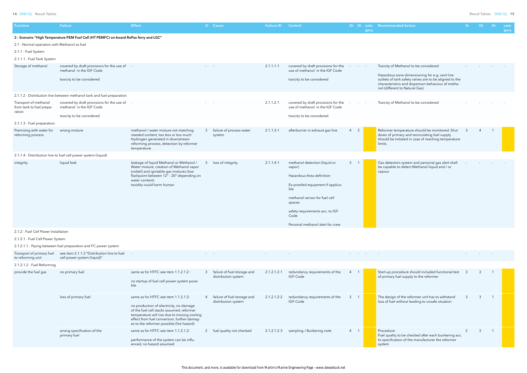| <b>Function</b>                                                                                   | Failure                                                                                               | <b>Effect</b>                                                                                                                                                                                                                                                            | Si Cause                                             | <b>Failure ID</b> | Control                                                                                                                                                                                                                                   |                     | gory | Oi Di cate- Recommended Action                                                                                                                                                                                                            | ∴Sr | Or             | Dr.            | cate-<br>gory |
|---------------------------------------------------------------------------------------------------|-------------------------------------------------------------------------------------------------------|--------------------------------------------------------------------------------------------------------------------------------------------------------------------------------------------------------------------------------------------------------------------------|------------------------------------------------------|-------------------|-------------------------------------------------------------------------------------------------------------------------------------------------------------------------------------------------------------------------------------------|---------------------|------|-------------------------------------------------------------------------------------------------------------------------------------------------------------------------------------------------------------------------------------------|-----|----------------|----------------|---------------|
| 2.1 - Normal operation with Methanol as fuel<br>2.1.1 - Fuel System<br>2.1.1.1 - Fuel Tank System | 2 - Scenario "High Temperature PEM Fuel Cell (HT PEMFC) on-board RoPax ferry and LGC"                 |                                                                                                                                                                                                                                                                          |                                                      |                   |                                                                                                                                                                                                                                           |                     |      |                                                                                                                                                                                                                                           |     |                |                |               |
| Storage of methanol                                                                               | covered by draft provisions for the use of -<br>methanol in the IGF Code<br>toxicity to be considered |                                                                                                                                                                                                                                                                          |                                                      | $2.1.1.1 - 1$     | covered by draft provisions for the<br>use of methanol in the IGF Code<br>toxicity to be considered                                                                                                                                       |                     |      | Toxicity of Methanol to be considered<br>Hazardous zone dimensioning for e.g. vent line<br>outlets of tank safety valves are to be aligned to the<br>characteristics and dispersion behaviour of metha-<br>nol (different to Natural Gas) |     |                |                |               |
|                                                                                                   | 2.1.1.2 - Distribution line between methanol tank and fuel preparation                                |                                                                                                                                                                                                                                                                          |                                                      |                   |                                                                                                                                                                                                                                           |                     |      |                                                                                                                                                                                                                                           |     |                |                |               |
| Transport of methanol<br>from tank to fuel prepa-<br>ration                                       | covered by draft provisions for the use of<br>methanol in the IGF Code                                |                                                                                                                                                                                                                                                                          |                                                      | $2.1.1.2 - 1$     | covered by draft provisions for the<br>use of methanol in the IGF Code                                                                                                                                                                    |                     |      | Toxicity of Methanol to be considered                                                                                                                                                                                                     |     |                |                |               |
|                                                                                                   | toxicity to be considered                                                                             |                                                                                                                                                                                                                                                                          |                                                      |                   | toxicity to be considered                                                                                                                                                                                                                 |                     |      |                                                                                                                                                                                                                                           |     |                |                |               |
| 2.1.1.3 - Fuel preparation<br>Premixing with water for<br>reforming process                       | wrong mixture                                                                                         | methanol / water mixture not matching<br>needed content, too less or too much<br>Hydrogen generated in downstream<br>reforming process, detection by reformer<br>temperature                                                                                             | 3 failure of process water<br>system                 | $2.1.1.3 - 1$     | afterburner in exhaust gas line                                                                                                                                                                                                           | $4\quad 2$          |      | Reformer temperature should be monitored. Shut<br>down of primary and recirculating fuel supply<br>should be initiated in case of reaching temperature<br>limits.                                                                         |     |                |                |               |
|                                                                                                   | 2.1.1.4 - Distribution line to fuel cell power system (liquid)                                        |                                                                                                                                                                                                                                                                          |                                                      |                   |                                                                                                                                                                                                                                           |                     |      |                                                                                                                                                                                                                                           |     |                |                |               |
| integrity                                                                                         | liquid leak                                                                                           | leakage of liquid Methanol or Methanol /<br>Water mixture, creation of Methanol vapor<br>(volatil) and ignitable gas mixtures (low<br>flashpoint between 12° - 20° depending on<br>water content)<br>toxidity could harm human                                           | 3 loss of integrity                                  | $2.1.1.4-1$       | methanol detection (liquid or<br>vapor)<br>Hazardous Area definition<br>Ex-proofed equipment if applica-<br>ble<br>methanol sensor for fuel cell<br>spaces<br>safety requirements acc. to IGF<br>Code<br>Personal methanol alert for crew | $3 \quad 1$         |      | Gas detection system and personal gas alert shall<br>be capable to detect Methanol liquid and / or<br>vapour                                                                                                                              |     |                |                |               |
| 2.1.2 - Fuel Cell Power Installation                                                              |                                                                                                       |                                                                                                                                                                                                                                                                          |                                                      |                   |                                                                                                                                                                                                                                           |                     |      |                                                                                                                                                                                                                                           |     |                |                |               |
| 2.1.2.1 - Fuel Cell Power System                                                                  |                                                                                                       |                                                                                                                                                                                                                                                                          |                                                      |                   |                                                                                                                                                                                                                                           |                     |      |                                                                                                                                                                                                                                           |     |                |                |               |
|                                                                                                   | 2.1.2.1.1 - Piping between fuel preparation and FC power system                                       |                                                                                                                                                                                                                                                                          |                                                      |                   |                                                                                                                                                                                                                                           |                     |      |                                                                                                                                                                                                                                           |     |                |                |               |
| Transport of primary fuel<br>to reforming unit                                                    | see item 2.1.1.3 "Distribution line to fuel<br>cell power system (liquid)"                            |                                                                                                                                                                                                                                                                          |                                                      |                   |                                                                                                                                                                                                                                           |                     |      |                                                                                                                                                                                                                                           |     |                |                |               |
| 2.1.2.1.2 - Fuel Reforming                                                                        |                                                                                                       |                                                                                                                                                                                                                                                                          |                                                      |                   |                                                                                                                                                                                                                                           |                     |      |                                                                                                                                                                                                                                           |     |                |                |               |
| provide the fuel gas                                                                              | no primary fuel                                                                                       | same as for HTFC see item 1.1.2.1.2 :<br>no startup of fuel cell power system possi-<br>ble                                                                                                                                                                              | 3 failure of fuel storage and<br>distribution system | $2.1.2.1.2 - 1$   | redundancy requirements of the<br>IGF-Code                                                                                                                                                                                                |                     |      | Start-up procedure should included functional test<br>of primary fuel supply to the reformer                                                                                                                                              |     |                |                |               |
|                                                                                                   | loss of primary fuel                                                                                  | same as for HTFC see item 1.1.2.1.2:<br>no production of electricity, no damage<br>of the fuel cell stacks assumed, reformer<br>temperature will rise due to missing cooling<br>effect from fuel conversion, further damag-<br>es to the reformer possible (fire hazard) | 4 failure of fuel storage and<br>distribution system | $2.1.2.1.2 - 2$   | redundancy requirements of the<br>IGF-Code                                                                                                                                                                                                | 3<br>$\overline{1}$ |      | The design of the reformer unit has to withstand<br>loss of fuel without leading to unsafe situation                                                                                                                                      |     | -3             | $\overline{1}$ |               |
|                                                                                                   | wrong specification of the<br>primary fuel                                                            | same as for HTFC see item 1.1.2.1.2:<br>performance of the system can be influ-<br>enced, no hazard assumed                                                                                                                                                              | 2 fuel quality not checked                           | $2.1.2.1.2-3$     | sampling / Bunkering note                                                                                                                                                                                                                 | 4 1                 |      | Procedure:<br>Fuel quality to be checked after each bunkering acc.<br>to specification of the manufacturer the reformer<br>system                                                                                                         | 2   | $\overline{3}$ | $\overline{1}$ |               |
|                                                                                                   |                                                                                                       |                                                                                                                                                                                                                                                                          |                                                      |                   |                                                                                                                                                                                                                                           |                     |      |                                                                                                                                                                                                                                           |     |                |                |               |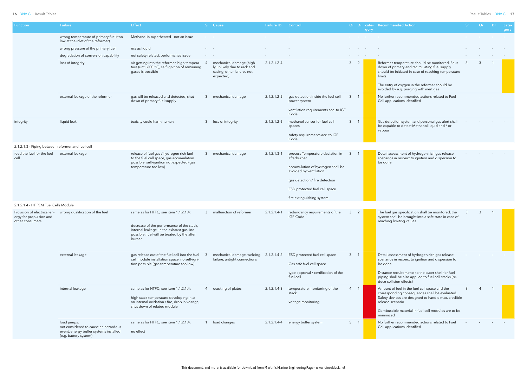| <b>Function</b>                                                           | Failure                                                                                                                | <b>Effect</b>                                                                                                                                                                           |                                                           | Si Cause                                                                                           | <b>Failure ID</b> | Control                                                                                                                                                                                                        |                        |                                   | gory | Oi Di cate- Recommended Action                                                                                                                                                                                                                               | -Sr - | Or | −Dr∶ | cate-<br>gory |
|---------------------------------------------------------------------------|------------------------------------------------------------------------------------------------------------------------|-----------------------------------------------------------------------------------------------------------------------------------------------------------------------------------------|-----------------------------------------------------------|----------------------------------------------------------------------------------------------------|-------------------|----------------------------------------------------------------------------------------------------------------------------------------------------------------------------------------------------------------|------------------------|-----------------------------------|------|--------------------------------------------------------------------------------------------------------------------------------------------------------------------------------------------------------------------------------------------------------------|-------|----|------|---------------|
|                                                                           | wrong temperature of primary fuel (too<br>low at the inlet of the reformer)                                            | Methanol is superheated - not an issue                                                                                                                                                  |                                                           |                                                                                                    |                   |                                                                                                                                                                                                                |                        | and the state of the state        |      |                                                                                                                                                                                                                                                              |       |    |      |               |
|                                                                           | wrong pressure of the primary fuel                                                                                     | n/a as liquid                                                                                                                                                                           | and the state                                             |                                                                                                    |                   |                                                                                                                                                                                                                |                        | <b>Contract Contract Contract</b> |      |                                                                                                                                                                                                                                                              |       |    |      |               |
|                                                                           | degradation of conversion capability                                                                                   | not safety related, performance issue                                                                                                                                                   | $\mathcal{L}_{\text{max}}$ and $\mathcal{L}_{\text{max}}$ |                                                                                                    |                   |                                                                                                                                                                                                                | <b>Service Control</b> |                                   |      |                                                                                                                                                                                                                                                              |       |    |      |               |
|                                                                           | loss of integrity                                                                                                      | air getting into the reformer, high tempera-<br>ture (until 600 °C), self ignition of remaining<br>gases is possible                                                                    | -4                                                        | mechanical damage (high-<br>ly unlikely due to rack and<br>casing, other failures not<br>expected) | 2.1.2.1.2-4       |                                                                                                                                                                                                                | 3 <sup>2</sup>         |                                   |      | Reformer temperature should be monitored. Shut<br>down of primary and recirculating fuel supply<br>should be initiated in case of reaching temperature<br>limits.<br>The entry of oxygen in the reformer should be<br>avoided by e.g. purging with inert gas |       |    |      |               |
|                                                                           | external leakage of the reformer                                                                                       | gas will be released and detected, shut<br>down of primary fuel supply                                                                                                                  |                                                           | 3 mechanical damage                                                                                | $2.1.2.1.2 - 5$   | gas detection inside the fuel cell<br>power system<br>ventilation requirements acc. to IGF                                                                                                                     | $3 \quad 1$            |                                   |      | No further recommended actions related to Fuel<br>Cell applications identified                                                                                                                                                                               |       |    |      |               |
|                                                                           |                                                                                                                        |                                                                                                                                                                                         |                                                           |                                                                                                    |                   | Code                                                                                                                                                                                                           |                        |                                   |      |                                                                                                                                                                                                                                                              |       |    |      |               |
| integrity                                                                 | liquid leak                                                                                                            | toxicity could harm human                                                                                                                                                               |                                                           | 3 loss of integrity                                                                                | 2.1.2.1.2-6       | methanol sensor for fuel cell<br>spaces<br>safety requirements acc. to IGF<br>Code                                                                                                                             | $3 \quad 1$            |                                   |      | Gas detection system and personal gas alert shall<br>be capable to detect Methanol liquid and / or<br>vapour                                                                                                                                                 |       |    |      |               |
| 2.1.2.1.3 - Piping between reformer and fuel cell                         |                                                                                                                        |                                                                                                                                                                                         |                                                           |                                                                                                    |                   |                                                                                                                                                                                                                |                        |                                   |      |                                                                                                                                                                                                                                                              |       |    |      |               |
| feed the fuel for the fuel<br>cell                                        | external leakage                                                                                                       | release of fuel gas / hydrogen rich fuel<br>to the fuel cell space, gas accumulation<br>possible, self-ignition not expected (gas<br>temperature too low)                               |                                                           | 3 mechanical damage                                                                                | 2.1.2.1.3-1       | process Temperature deviation in<br>afterburner<br>accumulation of hydrogen shall be<br>avoided by ventilation<br>gas detection / fire detection<br>ESD protected fuel cell space<br>fire extinguishing system | 3                      |                                   |      | Detail assessment of hydrogen rich gas release<br>scenarios in respect to ignition and dispersion to<br>be done                                                                                                                                              |       |    |      |               |
| 2.1.2.1.4 - HT PEM Fuel Cells Module                                      |                                                                                                                        |                                                                                                                                                                                         |                                                           |                                                                                                    |                   |                                                                                                                                                                                                                |                        |                                   |      |                                                                                                                                                                                                                                                              |       |    |      |               |
| Provision of electrical en-<br>ergy for propulsion and<br>other consumers | wrong qualification of the fuel                                                                                        | same as for HTFC; see item 1.1.2.1.4:<br>decrease of the performance of the stack,<br>internal leakage in the exhaust gas line<br>possible; fuel will be treated by the after<br>burner |                                                           | 3 malfunction of reformer                                                                          | $2.1.2.1.4-1$     | redundancy requirements of the<br>IGF-Code                                                                                                                                                                     | $\mathbf{3}$           | 2                                 |      | The fuel gas specification shall be monitored, the<br>system shall be brought into a safe state in case of<br>reaching limiting values                                                                                                                       | -3    | -3 |      |               |
|                                                                           | external leakage                                                                                                       | gas release out of the fuel cell into the fuel<br>cell module installation space, no self-igni-<br>tion possible (gas temperature too low)                                              | -3                                                        | mechanical damage, welding 2.1.2.1.4-2<br>failure, untight connections                             |                   | ESD protected fuel cell space<br>Gas safe fuel cell space<br>type approval / certification of the<br>fuel cell                                                                                                 | $3 \quad 1$            |                                   |      | Detail assessment of hydrogen rich gas release<br>scenarios in respect to ignition and dispersion to<br>be done<br>Distance requirements to the outer shell for fuel<br>piping shall be also applied to fuel cell stacks (re-<br>duce collision effects)     |       |    |      |               |
|                                                                           | internal leakage                                                                                                       | same as for HTFC; see item 1.1.2.1.4:<br>high stack temperature developing into<br>an internal oxidation / fire, drop in voltage,<br>shut down of related module                        |                                                           | 4 cracking of plates                                                                               | 2.1.2.1.4-3       | temperature monitoring of the<br>stack<br>voltage monitoring                                                                                                                                                   | 4 1                    |                                   |      | Amount of fuel in the fuel cell space and the<br>corresponding consequences shall be evaluated.<br>Safety devices are designed to handle max. credible<br>release scenario.<br>Combustible material in fuel cell modules are to be<br>minimized              |       |    |      |               |
|                                                                           | load jumps:<br>not considered to cause an hazardous<br>event, energy buffer systems installed<br>(e.g. battery system) | same as for HTFC; see item 1.1.2.1.4:<br>no effect                                                                                                                                      |                                                           | 1 load changes                                                                                     | 2.1.2.1.4-4       | energy buffer system                                                                                                                                                                                           | 5 <sub>1</sub>         |                                   |      | No further recommended actions related to Fuel<br>Cell applications identified                                                                                                                                                                               |       |    |      |               |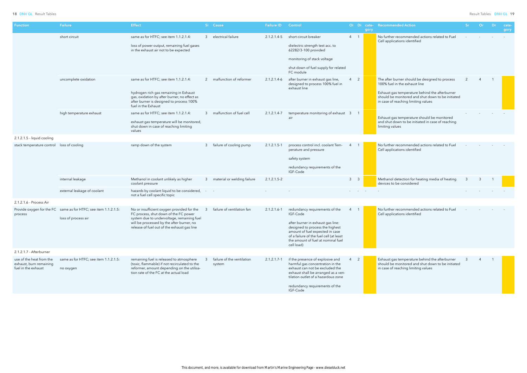| Function                                                                   | <b>Failure</b>                                                                         | <b>Effect</b>                                                                                                                                                                                                                 |                                   | Si Cause                             | <b>Failure ID</b> | Control                                                                                                                                                                                                                                              |                        | gory | Oi Di cate- Recommended Action                                                                                                                                                                                                |     | <b>Or</b> | Dr. | cate-<br>gory |
|----------------------------------------------------------------------------|----------------------------------------------------------------------------------------|-------------------------------------------------------------------------------------------------------------------------------------------------------------------------------------------------------------------------------|-----------------------------------|--------------------------------------|-------------------|------------------------------------------------------------------------------------------------------------------------------------------------------------------------------------------------------------------------------------------------------|------------------------|------|-------------------------------------------------------------------------------------------------------------------------------------------------------------------------------------------------------------------------------|-----|-----------|-----|---------------|
|                                                                            | short circuit                                                                          | same as for HTFC; see item 1.1.2.1.4:<br>loss of power output, remaining fuel gases<br>in the exhaust air not to be expected                                                                                                  |                                   | 3 electrical failure                 | 2.1.2.1.4-5       | short circuit breaker<br>dielectric strength test acc. to<br>62282/3-100 provided<br>monitoring of stack voltage<br>shut down of fuel supply for related<br>FC module                                                                                | $4 \quad 1$            |      | No further recommended actions related to Fuel<br>Cell applications identified                                                                                                                                                |     |           |     |               |
|                                                                            | uncomplete oxidation                                                                   | same as for HTFC; see item 1.1.2.1.4:<br>hydrogen rich gas remaining in Exhaust<br>gas, oxidation by after burner, no effect as<br>after burner is designed to process 100%<br>fuel in the Exhaust                            |                                   | 2 malfunction of reformer            | $2.1.2.1.4-6$     | after burner in exhaust gas line,<br>designed to process 100% fuel in<br>exhaust line                                                                                                                                                                | $4\quad 2$             |      | The after burner should be designed to process<br>100% fuel in the exhaust line<br>Exhaust gas temperature behind the afterburner<br>should be monitored and shut down to be initiated<br>in case of reaching limiting values |     |           |     |               |
|                                                                            | high temperature exhaust                                                               | same as for HTFC; see item 1.1.2.1.4:<br>exhaust gas temperature will be monitored,<br>shut down in case of reaching limiting<br>values                                                                                       |                                   | malfunction of fuel cell             | 2.1.2.1.4-7       | temperature monitoring of exhaust 3<br>air                                                                                                                                                                                                           | $\overline{1}$         |      | Exhaust gas temperature should be monitored<br>and shut down to be initiated in case of reaching<br>limiting values                                                                                                           |     |           |     |               |
| 2.1.2.1.5 - liquid cooling                                                 |                                                                                        |                                                                                                                                                                                                                               |                                   |                                      |                   |                                                                                                                                                                                                                                                      |                        |      |                                                                                                                                                                                                                               |     |           |     |               |
| stack temperature control loss of cooling                                  |                                                                                        | ramp down of the system                                                                                                                                                                                                       |                                   | failure of cooling pump              | $2.1.2.1.5 - 1$   | process control incl. coolant Tem-<br>perature and pressure<br>safety system<br>redundancy requirements of the<br>IGF-Code                                                                                                                           | $\overline{4}$         |      | No further recommended actions related to Fuel<br>Cell applications identified                                                                                                                                                |     |           |     |               |
|                                                                            | internal leakage                                                                       | Methanol in coolant unlikely as higher<br>coolant pressure                                                                                                                                                                    |                                   | 3 material or welding failure        | $2.1.2.1.5 - 2$   |                                                                                                                                                                                                                                                      | $3 \quad 3$            |      | Methanol detection for heating media of heating<br>devices to be considered                                                                                                                                                   | - 3 |           |     |               |
|                                                                            | external leakage of coolant                                                            | hazards by coolant liquid to be considered,<br>not a fuel cell specific topic                                                                                                                                                 | $\sim 10^{-1}$ and $\sim 10^{-1}$ |                                      |                   |                                                                                                                                                                                                                                                      | <b>Service Control</b> |      |                                                                                                                                                                                                                               |     |           |     |               |
| 2.1.2.1.6 - Process Air                                                    |                                                                                        |                                                                                                                                                                                                                               |                                   |                                      |                   |                                                                                                                                                                                                                                                      |                        |      |                                                                                                                                                                                                                               |     |           |     |               |
| process                                                                    | Provide oxygen for the FC same as for HTFC; see item 1.1.2.1.5:<br>loss of process air | No or insufficient oxygen provided for the<br>FC process, shut down of the FC power<br>system due to undervoltage, remaining fuel<br>will be processed by the after burner, no<br>release of fuel out of the exhaust gas line | -3                                | failure of ventilation fan           | $2.1.2.1.6 - 1$   | redundancy requirements of the<br>IGF-Code<br>after burner in exhaust gas line:<br>designed to process the highest<br>amount of fuel expected in case<br>of a failure of the fuel cell (at least<br>the amount of fuel at nominal fuel<br>cell load) |                        |      | No further recommended actions related to Fuel<br>Cell applications identified                                                                                                                                                |     |           |     |               |
| 2.1.2.1.7 - Afterburner                                                    |                                                                                        |                                                                                                                                                                                                                               |                                   |                                      |                   |                                                                                                                                                                                                                                                      |                        |      |                                                                                                                                                                                                                               |     |           |     |               |
| use of the heat from the<br>exhaust, burn remaining<br>fuel in the exhaust | same as for HTFC; see item 1.1.2.1.5:<br>no oxygen                                     | remaining fuel is released to atmosphere<br>(toxic, flammable) if not recirculated to the<br>reformer, amount depending on the utilisa-<br>tion rate of the FC at the actual load                                             |                                   | failure of the ventilation<br>system | $2.1.2.1.7 - 1$   | if the presence of explosive and<br>harmful gas concentration in the<br>exhaust can not be excluded the<br>exhaust shall be arranged as a ven-<br>tilation outlet of a hazardous zone<br>redundancy requirements of the<br>IGF-Code                  | 2<br>$\overline{4}$    |      | Exhaust gas temperature behind the afterburner<br>should be monitored and shut down to be initiated<br>in case of reaching limiting values                                                                                    |     |           |     |               |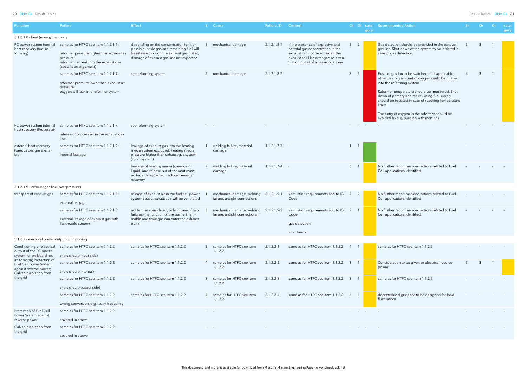| <b>Function</b>                                                                                           | Failure                                                                                                                                                            | <b>Effect</b>                                                                                                                                                                   | Si Cause                                                               | <b>Failure ID</b> | Control                                                                                                                                                                               |                          |                  | gory | Oi Di cate- Recommended Action                                                                                                                                                                                                                                                                                                                                                                   | Sr. | <b>Or</b> | Dr. | cate-<br>gory |
|-----------------------------------------------------------------------------------------------------------|--------------------------------------------------------------------------------------------------------------------------------------------------------------------|---------------------------------------------------------------------------------------------------------------------------------------------------------------------------------|------------------------------------------------------------------------|-------------------|---------------------------------------------------------------------------------------------------------------------------------------------------------------------------------------|--------------------------|------------------|------|--------------------------------------------------------------------------------------------------------------------------------------------------------------------------------------------------------------------------------------------------------------------------------------------------------------------------------------------------------------------------------------------------|-----|-----------|-----|---------------|
| 2.1.2.1.8 - heat (energy) recovery                                                                        |                                                                                                                                                                    |                                                                                                                                                                                 |                                                                        |                   |                                                                                                                                                                                       |                          |                  |      |                                                                                                                                                                                                                                                                                                                                                                                                  |     |           |     |               |
| FC power system internal<br>heat recovery (fuel re-<br>forming)                                           | same as for HTFC see item 1.1.2.1.7:<br>reformer pressure higher than exhaust air<br>pressure:<br>reformat can leak into the exhaust gas<br>(specific arrangement) | depending on the concentration ignition<br>possible, toxic gas and remaining fuel will<br>be release through the exhaust gas outlet,<br>damage of exhaust gas line not expected | mechanical damage                                                      | $2.1.2.1.8 - 1$   | if the presence of explosive and<br>harmful gas concentration in the<br>exhaust can not be excluded the<br>exhaust shall be arranged as a ven-<br>tilation outlet of a hazardous zone |                          | 2                |      | Gas detection should be provided in the exhaust<br>gas line. Shut down of the system to be initiated in<br>case of gas detection.                                                                                                                                                                                                                                                                |     |           |     |               |
|                                                                                                           | same as for HTFC see item 1.1.2.1.7:<br>reformer pressure lower than exhaust air<br>pressure:<br>oxygen will leak into reformer system                             | see reforming system                                                                                                                                                            | 5 mechanical damage                                                    | $2.1.2.1.8 - 2$   |                                                                                                                                                                                       | $\mathbf{3}$             | $\overline{2}$   |      | Exhaust gas fan to be switched of, if applicable,<br>otherwise big amount of oxygen could be pushed<br>into the reforming system<br>Reformer temperature should be monitored. Shut<br>down of primary and recirculating fuel supply<br>should be initiated in case of reaching temperature<br>limits.<br>The entry of oxygen in the reformer should be<br>avoided by e.g. purging with inert gas |     | 3         | - 1 |               |
| FC power system internal<br>heat recovery (Process air)                                                   | same as for HTFC see item 1.1.2.1.7<br>release of process air in the exhaust gas<br>line                                                                           | see reforming system                                                                                                                                                            |                                                                        |                   |                                                                                                                                                                                       |                          | And the Contract |      |                                                                                                                                                                                                                                                                                                                                                                                                  |     |           |     |               |
| external heat recovery<br>(various designs availa-<br>ble)                                                | same as for HTFC see item 1.1.2.1.7:<br>internal leakage                                                                                                           | leakage of exhaust gas into the heating<br>media system excluded: heating media<br>pressure higher than exhaust gas system<br>(open system)                                     | welding failure, material<br>damage                                    | $1.1.2.1.7-3$ -   |                                                                                                                                                                                       | $1 \quad 1$              |                  |      |                                                                                                                                                                                                                                                                                                                                                                                                  |     |           |     |               |
|                                                                                                           |                                                                                                                                                                    | leakage of heating media (gaseous or<br>liquid) and release out of the vent mast;<br>no hazards expected; reduced energy<br>recovery                                            | 2 welding failure, material<br>damage                                  | $1.1.2.1.7 - 4$ - |                                                                                                                                                                                       | $3 \quad 1$              |                  |      | No further recommended actions related to Fuel<br>Cell applications identified                                                                                                                                                                                                                                                                                                                   |     |           |     |               |
| 2.1.2.1.9 - exhaust gas line (overpressure)                                                               |                                                                                                                                                                    |                                                                                                                                                                                 |                                                                        |                   |                                                                                                                                                                                       |                          |                  |      |                                                                                                                                                                                                                                                                                                                                                                                                  |     |           |     |               |
| transport of exhaust gas                                                                                  | same as for HTFC see item 1.1.2.1.8:<br>external leakage                                                                                                           | release of exhaust air in the fuel cell power<br>system space, exhaust air will be ventilated                                                                                   | mechanical damage, welding 2.1.2.1.9-1<br>failure, untight connections |                   | ventilation requirements acc. to IGF 4<br>Code                                                                                                                                        |                          | $\overline{2}$   |      | No further recommended actions related to Fuel<br>Cell applications identified                                                                                                                                                                                                                                                                                                                   |     |           |     |               |
|                                                                                                           | same as for HTFC see item 1.1.2.1.8<br>external leakage of exhaust gas with<br>flammable content                                                                   | not further considered, only in case of two<br>failures (malfunction of the burner) flam-<br>mable and toxic gas can enter the exhaust<br>trunk                                 | mechanical damage, welding 2.1.2.1.9-2<br>failure, untight connections |                   | ventilation requirements acc. to IGF 2<br>Code<br>gas detection<br>after burner                                                                                                       |                          |                  |      | No further recommended actions related to Fuel<br>Cell applications identified                                                                                                                                                                                                                                                                                                                   |     |           |     |               |
| 2.1.2.2 - electrical power output conditioning                                                            |                                                                                                                                                                    |                                                                                                                                                                                 |                                                                        |                   |                                                                                                                                                                                       |                          |                  |      |                                                                                                                                                                                                                                                                                                                                                                                                  |     |           |     |               |
| Conditioning of electrical<br>output of the FC power<br>system for on-board net                           | same as for HTFC see item 1.1.2.2<br>short circuit (input side)                                                                                                    | same as for HTFC see item 1.1.2.2                                                                                                                                               | 3 same as for HTFC see item<br>1.1.2.2                                 | $2.1.2.2 - 1$     | same as for HTFC see item 1.1.2.2 4                                                                                                                                                   |                          |                  |      | same as for HTFC see item 1.1.2.2                                                                                                                                                                                                                                                                                                                                                                |     |           |     |               |
| integration; Protection of<br>Fuel Cell Power System<br>against reverse power;<br>Galvanic isolation from | same as for HTFC see item 1.1.2.2<br>short circuit (internal)                                                                                                      | same as for HTFC see item 1.1.2.2                                                                                                                                               | 4 same as for HTFC see item<br>1.1.2.2                                 | $2.1.2.2 - 2$     | same as for HTFC see item 1.1.2.2 3                                                                                                                                                   | $\overline{\phantom{1}}$ |                  |      | Consideration to be given to electrical reverse<br>power                                                                                                                                                                                                                                                                                                                                         | -3  | -3        |     |               |
| the grid                                                                                                  | same as for HTFC see item 1.1.2.2<br>short circuit (output side)                                                                                                   | same as for HTFC see item 1.1.2.2                                                                                                                                               | 3 same as for HTFC see item<br>1.1.2.2                                 | $2.1.2.2 - 3$     | same as for HTFC see item 1.1.2.2 3 1                                                                                                                                                 |                          |                  |      | same as for HTFC see item 1.1.2.2                                                                                                                                                                                                                                                                                                                                                                |     |           |     |               |
|                                                                                                           | same as for HTFC see item 1.1.2.2<br>wrong conversion, e.g. faulty frequency                                                                                       | same as for HTFC see item 1.1.2.2                                                                                                                                               | 4 same as for HTFC see item<br>1.1.2.2                                 | $2.1.2.2 - 4$     | same as for HTFC see item 1.1.2.2                                                                                                                                                     | - 3                      | $\overline{1}$   |      | decentralised grids are to be designed for load<br>fluctuations                                                                                                                                                                                                                                                                                                                                  |     |           |     |               |
| Protection of Fuel Cell<br>Power System against<br>reverse power                                          | same as for HTFC see item 1.1.2.2:<br>covered in above                                                                                                             |                                                                                                                                                                                 |                                                                        |                   |                                                                                                                                                                                       |                          |                  |      |                                                                                                                                                                                                                                                                                                                                                                                                  |     |           |     |               |
| Galvanic isolation from<br>the grid                                                                       | same as for HTFC see item 1.1.2.2:<br>covered in above                                                                                                             |                                                                                                                                                                                 |                                                                        |                   |                                                                                                                                                                                       |                          |                  |      |                                                                                                                                                                                                                                                                                                                                                                                                  |     |           |     |               |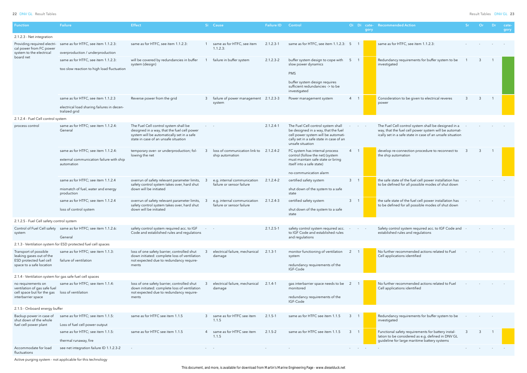| <b>Function</b>                                                                                          | <b>Failure</b>                                                             | <b>Effect</b>                                                                                                                                                              |                          | Si Cause                                                   | <b>Failure ID</b> | Control                                                                                                                                                                         |                |                            | gory | Oi Di cate- Recommended Action                                                                                                                                            | Sr - | Or | -Dr.           | cate-<br>gory |
|----------------------------------------------------------------------------------------------------------|----------------------------------------------------------------------------|----------------------------------------------------------------------------------------------------------------------------------------------------------------------------|--------------------------|------------------------------------------------------------|-------------------|---------------------------------------------------------------------------------------------------------------------------------------------------------------------------------|----------------|----------------------------|------|---------------------------------------------------------------------------------------------------------------------------------------------------------------------------|------|----|----------------|---------------|
| 2.1.2.3 - Net integration                                                                                |                                                                            |                                                                                                                                                                            |                          |                                                            |                   |                                                                                                                                                                                 |                |                            |      |                                                                                                                                                                           |      |    |                |               |
| Providing required electri-<br>cal power from FC power                                                   | same as for HTFC, see item 1.1.2.3:                                        | same as for HTFC, see item 1.1.2.3:                                                                                                                                        |                          | same as for HTFC, see item<br>1.1.2.3:                     | $2.1.2.3 - 1$     | same as for HTFC, see item 1.1.2.3: 5                                                                                                                                           |                |                            |      | same as for HTFC, see item 1.1.2.3:                                                                                                                                       |      |    |                |               |
| system to the electrical<br>board net                                                                    | overproduction / underproduction                                           |                                                                                                                                                                            |                          |                                                            |                   |                                                                                                                                                                                 |                |                            |      |                                                                                                                                                                           |      |    |                |               |
|                                                                                                          | same as for HTFC, see item 1.1.2.3:                                        | will be covered by redundancies in buffer<br>system (design)                                                                                                               |                          | failure in buffer system                                   | $2.1.2.3 - 2$     | buffer system design to cope with<br>slow power dynamics                                                                                                                        | -5             | - 1                        |      | Redundancy requirements for buffer system to be<br>investigated                                                                                                           |      |    |                |               |
|                                                                                                          | too slow reaction to high load fluctuation                                 |                                                                                                                                                                            |                          |                                                            |                   | <b>PMS</b>                                                                                                                                                                      |                |                            |      |                                                                                                                                                                           |      |    |                |               |
|                                                                                                          |                                                                            |                                                                                                                                                                            |                          |                                                            |                   | buffer system design requires<br>sufficient redundancies -> to be<br>investigated                                                                                               |                |                            |      |                                                                                                                                                                           |      |    |                |               |
|                                                                                                          | same as for HTFC, see item 1.1.2.3                                         | Reverse power from the grid                                                                                                                                                |                          | failure of power management 2.1.2.3-3<br>system            |                   | Power management system                                                                                                                                                         | 4 1            |                            |      | Consideration to be given to electrical reveres<br>power                                                                                                                  |      |    | $\overline{1}$ |               |
|                                                                                                          | electrical load sharing failures in decen-<br>tralized grid                |                                                                                                                                                                            |                          |                                                            |                   |                                                                                                                                                                                 |                |                            |      |                                                                                                                                                                           |      |    |                |               |
| 2.1.2.4 - Fuel Cell control system                                                                       |                                                                            |                                                                                                                                                                            |                          |                                                            |                   |                                                                                                                                                                                 |                |                            |      |                                                                                                                                                                           |      |    |                |               |
| process control                                                                                          | same as for HTFC; see item 1.1.2.4:<br>General                             | The Fuel Cell control system shall be<br>designed in a way, that the fuel cell power<br>system will be automatically set in a safe<br>state in case of an unsafe situation | $\Delta \phi = 0.01$ and |                                                            | $2.1.2.4 - 1$     | The Fuel Cell control system shall<br>be designed in a way, that the fuel<br>cell power system will be automati-<br>cally set in a safe state in case of an<br>unsafe situation |                |                            |      | The Fuel Cell control system shall be designed in a<br>way, that the fuel cell power system will be automat-<br>ically set in a safe state in case of an unsafe situation |      |    |                |               |
|                                                                                                          | same as for HTFC; see item 1.1.2.4:                                        | temporary over- or underproduction; fol-<br>lowing the net                                                                                                                 |                          | loss of communication link to 2.1.2.4-2<br>ship automation |                   | FC system has internal process<br>control (follow the net) (system                                                                                                              |                |                            |      | develop re-connection procedure to reconnect to<br>the ship automation                                                                                                    |      | 3  |                |               |
|                                                                                                          | external communication failure with ship<br>automation                     |                                                                                                                                                                            |                          |                                                            |                   | must maintain safe state or bring<br>itself into a safe state)                                                                                                                  |                |                            |      |                                                                                                                                                                           |      |    |                |               |
|                                                                                                          | same as for HTFC; see item 1.1.2.4                                         | overrun of safety relevant parameter limits,                                                                                                                               |                          | e.g. internal communication                                | $2.1.2.4 - 2$     | no-communication alarm<br>certified safety system                                                                                                                               | 3 <sup>1</sup> | $\overline{\phantom{0}}$ 1 |      | the safe state of the fuel cell power installation has                                                                                                                    |      |    |                |               |
|                                                                                                          | mismatch of fuel, water and energy<br>production                           | safety control system takes over, hard shut<br>down will be initiated                                                                                                      |                          | failure or sensor failure                                  |                   | shut down of the system to a safe<br>state                                                                                                                                      |                |                            |      | to be defined for all possible modes of shut down                                                                                                                         |      |    |                |               |
|                                                                                                          | same as for HTFC; see item 1.1.2.4<br>loss of control system               | overrun of safety relevant parameter limits,<br>safety control system takes over, hard shut<br>down will be initiated                                                      |                          | e.g. internal communication<br>failure or sensor failure   | $2.1.2.4 - 3$     | certified safety system<br>shut down of the system to a safe                                                                                                                    | $\mathbf{3}$   | $\overline{1}$             |      | the safe state of the fuel cell power installation has<br>to be defined for all possible modes of shut down                                                               |      |    |                |               |
|                                                                                                          |                                                                            |                                                                                                                                                                            |                          |                                                            |                   | state                                                                                                                                                                           |                |                            |      |                                                                                                                                                                           |      |    |                |               |
| 2.1.2.5 - Fuel Cell safety control system                                                                |                                                                            |                                                                                                                                                                            |                          |                                                            |                   |                                                                                                                                                                                 |                |                            |      |                                                                                                                                                                           |      |    |                |               |
| system                                                                                                   | Control of Fuel Cell safety same as for HTFC; see item 1.1.2.6:<br>General | safety control system required acc. to IGF<br>Code and established rules and regulations                                                                                   |                          |                                                            | $2.1.2.5 - 1$     | safety control system required acc.<br>to IGF Code and established rules<br>and regulations                                                                                     |                |                            |      | Safety control system required acc. to IGF Code and<br>established rules and regulations                                                                                  |      |    |                |               |
|                                                                                                          | 2.1.3 - Ventilation system for ESD protected fuel cell spaces              |                                                                                                                                                                            |                          |                                                            |                   |                                                                                                                                                                                 |                |                            |      |                                                                                                                                                                           |      |    |                |               |
| Transport of possible<br>leaking gases out of the<br>ESD protected fuel cell<br>space to a safe location | same as for HTFC; see item 1.1.3:<br>failure of ventilation                | loss of one safety barrier, controlled shut<br>down initiated: complete loss of ventilation<br>not expected due to redundancy require-<br>ments                            |                          | electrical failure, mechanical<br>damage                   | $2.1.3 - 1$       | monitor functioning of ventilation<br>system<br>redundancy requirements of the                                                                                                  | 2              |                            |      | No further recommended actions related to Fuel<br>Cell applications identified                                                                                            |      |    |                |               |
|                                                                                                          |                                                                            |                                                                                                                                                                            |                          |                                                            |                   | IGF-Code                                                                                                                                                                        |                |                            |      |                                                                                                                                                                           |      |    |                |               |
| 2.1.4 - Ventilation system for gas safe fuel cell spaces                                                 |                                                                            |                                                                                                                                                                            |                          |                                                            |                   |                                                                                                                                                                                 |                |                            |      |                                                                                                                                                                           |      |    |                |               |
| no requirements on<br>ventilation of gas safe fuel<br>cell space but for the gas                         | same as for HTFC; see item 1.1.4:<br>loss of ventilation                   | loss of one safety barrier, controlled shut<br>down initiated: complete loss of ventilation<br>not expected due to redundancy require-                                     |                          | electrical failure, mechanical<br>damage                   | $2.1.4 - 1$       | gas interbarrier space needs to be 2<br>monitored                                                                                                                               |                |                            |      | No further recommended actions related to Fuel<br>Cell applications identified                                                                                            |      |    |                |               |
| interbarrier space                                                                                       |                                                                            | ments                                                                                                                                                                      |                          |                                                            |                   | redundancy requirements of the<br>IGF-Code                                                                                                                                      |                |                            |      |                                                                                                                                                                           |      |    |                |               |
| 2.1.5 - Onboard energy buffer                                                                            |                                                                            |                                                                                                                                                                            |                          |                                                            |                   |                                                                                                                                                                                 |                |                            |      |                                                                                                                                                                           |      |    |                |               |
| Backup power in case of<br>shut down of the whole                                                        | same as for HTFC; see item 1.1.5:                                          | same as for HTFC see item 1.1.5                                                                                                                                            |                          | 3 same as for HTFC see item<br>1.1.5                       | $2.1.5 - 1$       | same as for HTFC see item 1.1.5                                                                                                                                                 | 3              |                            |      | Redundancy requirements for buffer system to be<br>investigated                                                                                                           |      |    |                |               |
| fuel cell power plant                                                                                    | Loss of fuel cell power output                                             |                                                                                                                                                                            |                          |                                                            |                   |                                                                                                                                                                                 |                |                            |      |                                                                                                                                                                           |      |    |                |               |
|                                                                                                          | same as for HTFC; see item 1.1.5:<br>thermal runaway, fire                 | same as for HTFC see item 1.1.5                                                                                                                                            |                          | 4 same as for HTFC see item<br>1.1.5                       | $2.1.5 - 2$       | same as for HTFC see item 1.1.5                                                                                                                                                 |                |                            |      | Functional safety requirements for battery instal-<br>lation to be considered as e.g. defined in DNV GL<br>guideline for large maritime battery systems                   |      | 3  |                |               |
| Accommodate for load<br>fluctuations                                                                     | see net integration failure ID 1.1.2.3-2                                   |                                                                                                                                                                            |                          |                                                            |                   |                                                                                                                                                                                 |                |                            |      |                                                                                                                                                                           |      |    |                |               |

Active purging system - not applicable for this technology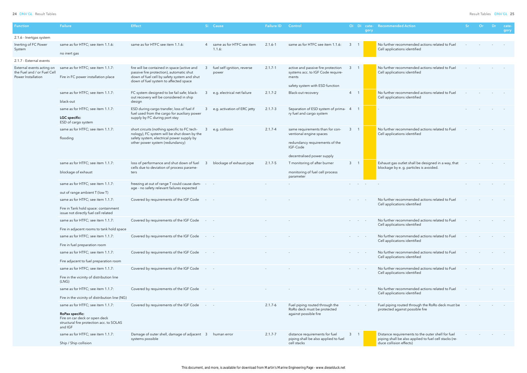| <b>Function</b>                                                                | Failure                                                                                                        | <b>Effect</b>                                                                                                                                                                   |                         | Si Cause                              | <b>Failure ID</b> | Control                                                                                                                                |                                | Oi Di cate-<br>gory      | <b>Recommended Action</b>                                                                                  | -Sr | Or | Dr | cate-<br>gory |
|--------------------------------------------------------------------------------|----------------------------------------------------------------------------------------------------------------|---------------------------------------------------------------------------------------------------------------------------------------------------------------------------------|-------------------------|---------------------------------------|-------------------|----------------------------------------------------------------------------------------------------------------------------------------|--------------------------------|--------------------------|------------------------------------------------------------------------------------------------------------|-----|----|----|---------------|
| 2.1.6 - Inertgas system                                                        |                                                                                                                |                                                                                                                                                                                 |                         |                                       |                   |                                                                                                                                        |                                |                          |                                                                                                            |     |    |    |               |
| Inerting of FC Power<br>System                                                 | same as for HTFC; see item 1.1.6:<br>no inert gas                                                              | same as for HTFC see item 1.1.6:                                                                                                                                                |                         | 4 same as for HTFC see item<br>1.1.6: | $2.1.6 - 1$       | same as for HTFC see item 1.1.6:                                                                                                       | 3                              |                          | No further recommended actions related to Fuel<br>Cell applications identified                             |     |    |    |               |
| 2.1.7 - External events                                                        |                                                                                                                |                                                                                                                                                                                 |                         |                                       |                   |                                                                                                                                        |                                |                          |                                                                                                            |     |    |    |               |
| External events acting on<br>the Fuel and / or Fuel Cell<br>Power Installation | same as for HTFC; see item 1.1.7:<br>Fire in FC power installation place                                       | fire will be contained in space (active and<br>passive fire protection), automatic shut<br>down of fuel cell by safety system and shut<br>down of fuel system to affected space |                         | fuel self ignition, reverse<br>power  | $2.1.7 - 1$       | active and passive fire protection<br>systems acc. to IGF Code require-<br>ments                                                       | $\mathbf{3}$                   |                          | No further recommended actions related to Fuel<br>Cell applications identified                             |     |    |    |               |
|                                                                                |                                                                                                                |                                                                                                                                                                                 |                         |                                       |                   | safety system with ESD function                                                                                                        |                                |                          |                                                                                                            |     |    |    |               |
|                                                                                | same as for HTFC; see item 1.1.7:<br>black-out                                                                 | FC system designed to be fail safe; black-<br>out recovery will be considered in ship<br>design                                                                                 | 3                       | e.g. electrical net failure           | $2.1.7 - 2$       | Black-out recovery                                                                                                                     | $4 \quad 1$                    |                          | No further recommended actions related to Fuel<br>Cell applications identified                             |     |    |    |               |
|                                                                                | same as for HTFC; see item 1.1.7:<br>LGC specific:<br>ESD of cargo system                                      | ESD during cargo transfer, loss of fuel if<br>fuel used from the cargo for auxiliary power<br>supply by FC during port stay                                                     |                         | e.g. activation of ERC jetty          | $2.1.7 - 3$       | Separation of ESD system of prima- 4<br>ry fuel and cargo system                                                                       |                                |                          |                                                                                                            |     |    |    |               |
|                                                                                | same as for HTFC; see item 1.1.7:<br>flooding                                                                  | short circuits (nothing specific to FC tech-<br>nology), FC system will be shut down by the<br>safety system, electrical power supply by<br>other power system (redundancy)     |                         | e.g. collision                        | $2.1.7 - 4$       | same requirements than for con-<br>ventional engine spaces<br>redundancy requirements of the<br>IGF-Code<br>decentralised power supply | $\mathbf{3}$<br>$\overline{1}$ |                          | No further recommended actions related to Fuel<br>Cell applications identified                             |     |    |    |               |
|                                                                                | same as for HTFC; see item 1.1.7:                                                                              | loss of performance and shut down of fuel                                                                                                                                       |                         | blockage of exhaust pipe              | $2.1.7 - 5$       | T monitoring of after burner                                                                                                           | $3 \quad 1$                    |                          | Exhaust gas outlet shall be designed in a way, that                                                        |     |    |    |               |
|                                                                                | blockage of exhaust                                                                                            | cells due to deviation of process parame-<br>ters                                                                                                                               |                         |                                       |                   | monitoring of fuel cell process<br>parameter                                                                                           |                                |                          | blockage by e. g. particles is avoided.                                                                    |     |    |    |               |
|                                                                                | same as for HTFC; see item 1.1.7:<br>out of range ambient T (low T)                                            | freezing at out of range T could cause dam-<br>age - no safety relevant failures expected                                                                                       |                         |                                       |                   |                                                                                                                                        |                                | <b>Contract Contract</b> |                                                                                                            |     |    |    |               |
|                                                                                | same as for HTFC; see item 1.1.7:                                                                              | Covered by requirements of the IGF Code                                                                                                                                         |                         |                                       |                   |                                                                                                                                        |                                |                          | No further recommended actions related to Fuel                                                             |     |    |    |               |
|                                                                                | Fire in Tank hold space: containment<br>issue not directly fuel cell related                                   |                                                                                                                                                                                 |                         |                                       |                   |                                                                                                                                        |                                |                          | Cell applications identified                                                                               |     |    |    |               |
|                                                                                | same as for HTFC; see item 1.1.7:                                                                              | Covered by requirements of the IGF Code                                                                                                                                         |                         |                                       |                   |                                                                                                                                        |                                |                          | No further recommended actions related to Fuel<br>Cell applications identified                             |     |    |    |               |
|                                                                                | Fire in adjacent rooms to tank hold space                                                                      |                                                                                                                                                                                 |                         |                                       |                   |                                                                                                                                        |                                |                          |                                                                                                            |     |    |    |               |
|                                                                                | same as for HTFC; see item 1.1.7:                                                                              | Covered by requirements of the IGF Code                                                                                                                                         |                         |                                       |                   |                                                                                                                                        |                                |                          | No further recommended actions related to Fuel<br>Cell applications identified                             |     |    |    |               |
|                                                                                | Fire in fuel preparation room                                                                                  |                                                                                                                                                                                 |                         |                                       |                   |                                                                                                                                        |                                |                          |                                                                                                            |     |    |    |               |
|                                                                                | same as for HTFC; see item 1.1.7:                                                                              | Covered by requirements of the IGF Code                                                                                                                                         |                         |                                       |                   |                                                                                                                                        |                                |                          | No further recommended actions related to Fuel<br>Cell applications identified                             |     |    |    |               |
|                                                                                | Fire adjacent to fuel preparation room                                                                         |                                                                                                                                                                                 |                         |                                       |                   |                                                                                                                                        |                                |                          |                                                                                                            |     |    |    |               |
|                                                                                | same as for HTFC; see item 1.1.7:                                                                              | Covered by requirements of the IGF Code                                                                                                                                         |                         |                                       |                   |                                                                                                                                        |                                |                          | No further recommended actions related to Fuel<br>Cell applications identified                             |     |    |    |               |
|                                                                                | Fire in the vicinity of distribution line<br>(LNG)                                                             |                                                                                                                                                                                 |                         |                                       |                   |                                                                                                                                        |                                |                          |                                                                                                            |     |    |    |               |
|                                                                                | same as for HTFC; see item 1.1.7:                                                                              | Covered by requirements of the IGF Code                                                                                                                                         |                         |                                       |                   |                                                                                                                                        |                                |                          | No further recommended actions related to Fuel<br>Cell applications identified                             |     |    |    |               |
|                                                                                | Fire in the vicinity of distribution line (NG)                                                                 |                                                                                                                                                                                 |                         |                                       |                   |                                                                                                                                        |                                |                          |                                                                                                            |     |    |    |               |
|                                                                                | same as for HTFC; see item 1.1.7:                                                                              | Covered by requirements of the IGF Code                                                                                                                                         | $\omega_{\rm{max}}=0.5$ |                                       | $2.1.7 - 6$       | Fuel piping routed through the<br>RoRo deck must be protected                                                                          |                                |                          | Fuel piping routed through the RoRo deck must be<br>protected against possible fire                        |     |    |    |               |
|                                                                                | <b>RoPax specific:</b><br>Fire on car deck or open deck<br>structural fire protection acc. to SOLAS<br>and IGF |                                                                                                                                                                                 |                         |                                       |                   | against possible fire                                                                                                                  |                                |                          |                                                                                                            |     |    |    |               |
|                                                                                | same as for HTFC; see item 1.1.7:                                                                              | Damage of outer shell, damage of adjacent 3<br>systems possible                                                                                                                 |                         | human error                           | $2.1.7 - 7$       | distance requirements for fuel<br>piping shall be also applied to fuel                                                                 | $3 \quad 1$                    |                          | Distance requirements to the outer shell for fuel<br>piping shall be also applied to fuel cell stacks (re- |     |    |    |               |
|                                                                                | Ship / Ship collision                                                                                          |                                                                                                                                                                                 |                         |                                       |                   | cell stacks                                                                                                                            |                                |                          | duce collision effects)                                                                                    |     |    |    |               |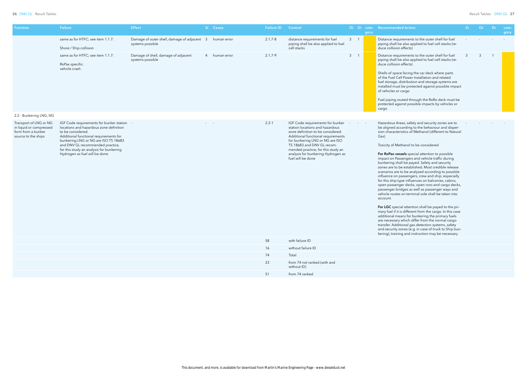| Function                                                                                       | Failure                                                                                                                                                                                                                                                                                                     | <b>Effect</b>                                                   | Si Cause      | <b>Failure ID</b> | Control                                                                                                                                                                                                                                                                                                          |             | Oi Di cate- Recommended Action<br>Or<br>-Sr<br>$Dr =$<br>cate-<br>gory<br>gory                                                                                                                                                                                                                                                                                                                                                                                                                                                                                                                                                                                                                                                                                                                                                                                                                                                                                                                                                                                                                                                                                                 |
|------------------------------------------------------------------------------------------------|-------------------------------------------------------------------------------------------------------------------------------------------------------------------------------------------------------------------------------------------------------------------------------------------------------------|-----------------------------------------------------------------|---------------|-------------------|------------------------------------------------------------------------------------------------------------------------------------------------------------------------------------------------------------------------------------------------------------------------------------------------------------------|-------------|--------------------------------------------------------------------------------------------------------------------------------------------------------------------------------------------------------------------------------------------------------------------------------------------------------------------------------------------------------------------------------------------------------------------------------------------------------------------------------------------------------------------------------------------------------------------------------------------------------------------------------------------------------------------------------------------------------------------------------------------------------------------------------------------------------------------------------------------------------------------------------------------------------------------------------------------------------------------------------------------------------------------------------------------------------------------------------------------------------------------------------------------------------------------------------|
|                                                                                                | same as for HTFC; see item 1.1.7:<br>Shore / Ship collision                                                                                                                                                                                                                                                 | Damage of outer shell, damage of adjacent 3<br>systems possible | human error   | $2.1.7 - 8$       | distance requirements for fuel<br>piping shall be also applied to fuel<br>cell stacks                                                                                                                                                                                                                            | $3 \quad 1$ | Distance requirements to the outer shell for fuel<br>piping shall be also applied to fuel cell stacks (re-<br>duce collision effects)                                                                                                                                                                                                                                                                                                                                                                                                                                                                                                                                                                                                                                                                                                                                                                                                                                                                                                                                                                                                                                          |
|                                                                                                | same as for HTFC; see item 1.1.7:<br>RoPax specific:<br>vehicle crash                                                                                                                                                                                                                                       | Damage of shell, damage of adjacent<br>systems possible         | 4 human error | $2.1.7 - 9$       |                                                                                                                                                                                                                                                                                                                  | $3 \quad 1$ | Distance requirements to the outer shell for fuel<br>$\overline{3}$<br>3<br>piping shall be also applied to fuel cell stacks (re-<br>duce collision effects)<br>Shells of space facing the car deck where parts<br>of the Fuel Cell Power Installation and related<br>fuel storage, distribution and storage systems are<br>installed must be protected against possible impact<br>of vehicles or cargo<br>Fuel piping routed through the RoRo deck must be<br>protected against possible impacts by vehicles or<br>cargo                                                                                                                                                                                                                                                                                                                                                                                                                                                                                                                                                                                                                                                      |
| 2.2 - Bunkering LNG, NG                                                                        |                                                                                                                                                                                                                                                                                                             |                                                                 |               |                   |                                                                                                                                                                                                                                                                                                                  |             |                                                                                                                                                                                                                                                                                                                                                                                                                                                                                                                                                                                                                                                                                                                                                                                                                                                                                                                                                                                                                                                                                                                                                                                |
| Transport of LNG or NG<br>in liquid or compressed<br>form from a bunker<br>source to the ships | IGF Code requirements for bunker station<br>locations and hazardous zone definition<br>to be considered.<br>Additional functional requirements for<br>bunkering LNG or NG are ISO TS 18683<br>and DNV GL recommended practice,<br>for this study an analysis for bunkering<br>Hydrogen as fuel will be done |                                                                 |               | $2.2 - 1$         | IGF Code requirements for bunker<br>station locations and hazardous<br>zone definition to be considered.<br>Additional functional requirements<br>for bunkering LNG or NG are ISO<br>TS 18683 and DNV GL recom-<br>mended practice, for this study an<br>analysis for bunkering Hydrogen as<br>fuel will be done |             | Hazardous Areas, safety and security zones are to<br>be aligned according to the behaviour and disper-<br>sion characteristics of Methanol (different to Natural<br>Gas)<br>Toxicity of Methanol to be considered<br>For RoPax vessels special attention to possible<br>impact on Passengers and vehicle traffic during<br>bunkering shall be payed. Safety and security<br>zones are to be established. Most credible release<br>scenarios are to be analysed according to possible<br>influence on passengers, crew and ship; especially<br>for this ship type influences on balconies, cabins,<br>open passenger decks, open roro-and cargo decks,<br>passenger bridges as well as passenger ways and<br>vehicle routes on terminal side shall be taken into<br>account.<br>For LGC special attention shall be payed to the pri-<br>mary fuel if it is different from the cargo. In this case<br>additional means for bunkering the primary fuels<br>are necessary which differ from the normal cargo<br>transfer. Additional gas detection systems, safety<br>and security zones (e.g. in case of truck to Ship bun-<br>kering), training and instruction may be necessary |
|                                                                                                |                                                                                                                                                                                                                                                                                                             |                                                                 |               | 58                | with failure ID                                                                                                                                                                                                                                                                                                  |             |                                                                                                                                                                                                                                                                                                                                                                                                                                                                                                                                                                                                                                                                                                                                                                                                                                                                                                                                                                                                                                                                                                                                                                                |
|                                                                                                |                                                                                                                                                                                                                                                                                                             |                                                                 |               | 16                | without failure ID                                                                                                                                                                                                                                                                                               |             |                                                                                                                                                                                                                                                                                                                                                                                                                                                                                                                                                                                                                                                                                                                                                                                                                                                                                                                                                                                                                                                                                                                                                                                |
|                                                                                                |                                                                                                                                                                                                                                                                                                             |                                                                 |               | 74                | Total                                                                                                                                                                                                                                                                                                            |             |                                                                                                                                                                                                                                                                                                                                                                                                                                                                                                                                                                                                                                                                                                                                                                                                                                                                                                                                                                                                                                                                                                                                                                                |
|                                                                                                |                                                                                                                                                                                                                                                                                                             |                                                                 |               | 23                | from 74 not ranked (with and<br>without ID)                                                                                                                                                                                                                                                                      |             |                                                                                                                                                                                                                                                                                                                                                                                                                                                                                                                                                                                                                                                                                                                                                                                                                                                                                                                                                                                                                                                                                                                                                                                |
|                                                                                                |                                                                                                                                                                                                                                                                                                             |                                                                 |               | 51                | from 74 ranked                                                                                                                                                                                                                                                                                                   |             |                                                                                                                                                                                                                                                                                                                                                                                                                                                                                                                                                                                                                                                                                                                                                                                                                                                                                                                                                                                                                                                                                                                                                                                |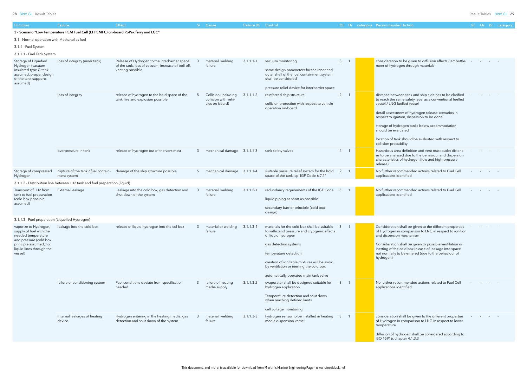28 DNV GL Result Tables Result Tables DNV GL 29

| ed Action |  | Sr Or Dr category |
|-----------|--|-------------------|
|           |  |                   |

| 3              | 1            | consideration to be given to diffusion effects / embrittle-<br>ment of hydrogen through materials                                                                                                                                                                                                                                                                                                               |  |  |  |
|----------------|--------------|-----------------------------------------------------------------------------------------------------------------------------------------------------------------------------------------------------------------------------------------------------------------------------------------------------------------------------------------------------------------------------------------------------------------|--|--|--|
| $\overline{c}$ | $\mathbf{1}$ | distance between tank and ship side has to be clarified<br>to reach the same safety level as a conventional fuelled<br>vessel / LNG fuelled vessel<br>detail assessment of hydrogen release scenarios in<br>respect to ignition, dispersion to be done<br>storage of hydrogen tanks below accommodation<br>should be evaluated<br>location of tank should be evaluated with respect to<br>collision probability |  |  |  |
| 4              | 1            | Hazardous area definition and vent mast outlet distanc-<br>es to be analysed due to the behaviour and dispersion<br>characteristics of hydrogen (low and high-pressure<br>release)                                                                                                                                                                                                                              |  |  |  |
| 2              | 1            | No further recommended actions related to Fuel Cell<br>applications identified                                                                                                                                                                                                                                                                                                                                  |  |  |  |
|                |              |                                                                                                                                                                                                                                                                                                                                                                                                                 |  |  |  |
| 3              | 1            | No further recommended actions related to Fuel Cell<br>applications identified                                                                                                                                                                                                                                                                                                                                  |  |  |  |
|                |              |                                                                                                                                                                                                                                                                                                                                                                                                                 |  |  |  |
| 3              | 1            | Consideration shall be given to the different properties<br>of Hydrogen in comparison to LNG in respect to ignition<br>and dispersion mechanism<br>Consideration shall be given to possible ventilation or<br>inerting of the cold box in case of leakage into space<br>not normally to be entered (due to the behaviour of<br>hydrogen)                                                                        |  |  |  |
| 3              | $\mathbf{1}$ | No further recommended actions related to Fuel Cell<br>applications identified                                                                                                                                                                                                                                                                                                                                  |  |  |  |
| 3              | $\mathbf{1}$ | consideration shall be given to the different properties<br>of Hydrogen in comparison to LNG in respect to lower<br>temperature<br>diffusion of hydrogen shall be considered according to<br>ISO 15916, chapter 4.1.3.3                                                                                                                                                                                         |  |  |  |

| Function                                                                                                                                                         | <b>Failure</b>                                                                       | <b>Effect</b>                                                                                                           |              | Si Cause                                                       | <b>Failure ID Control</b> |                                                                                                                                                                                                                                                                                                          |                |     | Oi Di category Recommended Action                                                                                                                                                                                                                                                                                                                                                                               |  | Sr Or Dr category |
|------------------------------------------------------------------------------------------------------------------------------------------------------------------|--------------------------------------------------------------------------------------|-------------------------------------------------------------------------------------------------------------------------|--------------|----------------------------------------------------------------|---------------------------|----------------------------------------------------------------------------------------------------------------------------------------------------------------------------------------------------------------------------------------------------------------------------------------------------------|----------------|-----|-----------------------------------------------------------------------------------------------------------------------------------------------------------------------------------------------------------------------------------------------------------------------------------------------------------------------------------------------------------------------------------------------------------------|--|-------------------|
|                                                                                                                                                                  | 3 - Scenario "Low Temperature PEM Fuel Cell (LT PEMFC) on-board RoPax ferry and LGC" |                                                                                                                         |              |                                                                |                           |                                                                                                                                                                                                                                                                                                          |                |     |                                                                                                                                                                                                                                                                                                                                                                                                                 |  |                   |
| 3.1 - Normal operation with Methanol as fuel                                                                                                                     |                                                                                      |                                                                                                                         |              |                                                                |                           |                                                                                                                                                                                                                                                                                                          |                |     |                                                                                                                                                                                                                                                                                                                                                                                                                 |  |                   |
| 3.1.1 - Fuel System                                                                                                                                              |                                                                                      |                                                                                                                         |              |                                                                |                           |                                                                                                                                                                                                                                                                                                          |                |     |                                                                                                                                                                                                                                                                                                                                                                                                                 |  |                   |
| 3.1.1.1 - Fuel Tank System                                                                                                                                       |                                                                                      |                                                                                                                         |              |                                                                |                           |                                                                                                                                                                                                                                                                                                          |                |     |                                                                                                                                                                                                                                                                                                                                                                                                                 |  |                   |
| Storage of Liquefied<br>Hydrogen (vacuum<br>insulated type C-tank<br>assumed, proper design<br>of the tank supports<br>assumed)                                  | loss of integrity (inner tank)                                                       | Release of Hydrogen to the interbarrier space<br>of the tank, loss of vacuum, increase of boil off,<br>venting possible |              | material, welding<br>failure                                   | $3.1.1.1 - 1$             | vacuum monitoring<br>same design parameters for the inner and<br>outer shell of the fuel containment system<br>shall be considered<br>pressure relief device for interbarrier space                                                                                                                      | 3 <sup>7</sup> |     | consideration to be given to diffusion effects / embrittle-<br>ment of hydrogen through materials                                                                                                                                                                                                                                                                                                               |  |                   |
|                                                                                                                                                                  | loss of integrity                                                                    | release of hydrogen to the hold space of the<br>tank, fire and explosion possible                                       |              | Collision (including<br>collision with vehi-<br>cles on-board) | $3.1.1.1 - 2$             | reinforced ship structure<br>collision protection with respect to vehicle<br>operation on-board                                                                                                                                                                                                          | $2^{\circ}$    |     | distance between tank and ship side has to be clarified<br>to reach the same safety level as a conventional fuelled<br>vessel / LNG fuelled vessel<br>detail assessment of hydrogen release scenarios in<br>respect to ignition, dispersion to be done<br>storage of hydrogen tanks below accommodation<br>should be evaluated<br>location of tank should be evaluated with respect to<br>collision probability |  |                   |
|                                                                                                                                                                  | overpressure in tank                                                                 | release of hydrogen out of the vent mast                                                                                | $\mathbf{3}$ | mechanical damage 3.1.1.1-3                                    |                           | tank safety valves                                                                                                                                                                                                                                                                                       | 4              |     | Hazardous area definition and vent mast outlet distanc-<br>es to be analysed due to the behaviour and dispersion<br>characteristics of hydrogen (low and high-pressure<br>release)                                                                                                                                                                                                                              |  |                   |
| Storage of compressed<br>Hydrogen                                                                                                                                | rupture of the tank / fuel contain-<br>ment system                                   | damage of the ship structure possible                                                                                   | 5            | mechanical damage 3.1.1.1-4                                    |                           | suitable pressure relief system for the hold<br>space of the tank, cp. IGF-Code 6.7.11                                                                                                                                                                                                                   | 2              |     | No further recommended actions related to Fuel Cell<br>applications identified                                                                                                                                                                                                                                                                                                                                  |  |                   |
|                                                                                                                                                                  | 3.1.1.2 - Distribution line between LH2 tank and fuel preparation (liquid)           |                                                                                                                         |              |                                                                |                           |                                                                                                                                                                                                                                                                                                          |                |     |                                                                                                                                                                                                                                                                                                                                                                                                                 |  |                   |
| Transport of LH2 from<br>tank to fuel preparation<br>(cold box principle<br>assumed)                                                                             | External leakage                                                                     | Leakage into the cold box, gas detection and<br>shut down of the system                                                 |              | material, welding<br>failure                                   | $3.1.1.2 - 1$             | redundancy requirements of the IGF Code<br>liquid piping as short as possible<br>secondary barrier principle (cold box<br>design)                                                                                                                                                                        | 3              |     | No further recommended actions related to Fuel Cell<br>applications identified                                                                                                                                                                                                                                                                                                                                  |  |                   |
| 3.1.1.3 - Fuel preparation (Liquefied Hydrogen)                                                                                                                  |                                                                                      |                                                                                                                         |              |                                                                |                           |                                                                                                                                                                                                                                                                                                          |                |     |                                                                                                                                                                                                                                                                                                                                                                                                                 |  |                   |
| vaporize to Hydrogen,<br>supply of fuel with the<br>needed temperature<br>and pressure (cold box<br>principle assumed, no<br>liquid lines through the<br>vessel) | leakage into the cold box                                                            | release of liquid hydrogen into the col box                                                                             | -3           | material or welding<br>failure                                 | $3.1.1.3 - 1$             | materials for the cold box shall be suitable<br>to withstand pressure and cryogenic effects<br>of liquid hydrogen<br>gas detection systems<br>temperature detection<br>creation of ignitable mixtures will be avoid<br>by ventilation or inerting the cold box<br>automatically operated main tank valve | $\mathbf{3}$   |     | Consideration shall be given to the different properties<br>of Hydrogen in comparison to LNG in respect to ignition<br>and dispersion mechanism<br>Consideration shall be given to possible ventilation or<br>inerting of the cold box in case of leakage into space<br>not normally to be entered (due to the behaviour of<br>hydrogen)                                                                        |  |                   |
|                                                                                                                                                                  | failure of conditioning system                                                       | Fuel conditions deviate from specification<br>needed                                                                    |              | failure of heating<br>media supply                             | $3.1.1.3 - 2$             | evaporator shall be designed suitable for<br>hydrogen application<br>Temperature detection and shut down<br>when reaching defined limits<br>cell voltage monitoring                                                                                                                                      | $\mathbf{3}$   | - 1 | No further recommended actions related to Fuel Cell<br>applications identified                                                                                                                                                                                                                                                                                                                                  |  |                   |
|                                                                                                                                                                  | Internal leakages of heating<br>device                                               | Hydrogen entering in the heating media, gas<br>detection and shut down of the system                                    |              | material, welding<br>failure                                   | $3.1.1.3 - 3$             | hydrogen sensor to be installed in heating<br>media dispension vessel                                                                                                                                                                                                                                    | $\mathbf{3}$   |     | consideration shall be given to the different properties<br>of Hydrogen in comparison to LNG in respect to lower<br>temperature<br>diffusion of hydrogen shall be considered according to<br>ISO 15916, chapter 4.1.3.3                                                                                                                                                                                         |  |                   |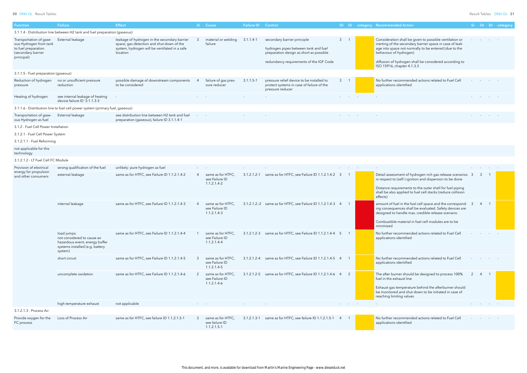### 30 DNV GL Result Tables Result Tables DNV GL 31

| Oi | Di | category Recommended Action                                                                                                                                                                                                                                                                    | .Sr | Or | Dr | category |
|----|----|------------------------------------------------------------------------------------------------------------------------------------------------------------------------------------------------------------------------------------------------------------------------------------------------|-----|----|----|----------|
|    |    |                                                                                                                                                                                                                                                                                                |     |    |    |          |
| 3  |    | Consideration shall be given to possible ventilation or<br>inerting of the secondary barrier space in case of leak-<br>age into space not normally to be entered (due to the<br>behaviour of hydrogen)<br>diffusion of hydrogen shall be considered according to<br>ISO 15916, chapter 4.1.3.3 |     |    |    |          |
|    |    |                                                                                                                                                                                                                                                                                                |     |    |    |          |
| 3  |    | No further recommended actions related to Fuel Cell<br>applications identified                                                                                                                                                                                                                 |     |    |    |          |
|    |    |                                                                                                                                                                                                                                                                                                |     |    |    |          |
|    |    |                                                                                                                                                                                                                                                                                                |     |    |    |          |
|    |    |                                                                                                                                                                                                                                                                                                |     |    |    |          |

| Function                                                                                                     | <b>Failure</b>                                                                                                            | <b>Effect</b>                                                                                                                                          |               | Si Cause                                               | <b>Failure ID</b> Control |                                                                                                                                                           |                         |  | Oi Di category Recommended Action                                                                                                                                                                                                                                                              |     |                                   |                | Sr Or Dr category |
|--------------------------------------------------------------------------------------------------------------|---------------------------------------------------------------------------------------------------------------------------|--------------------------------------------------------------------------------------------------------------------------------------------------------|---------------|--------------------------------------------------------|---------------------------|-----------------------------------------------------------------------------------------------------------------------------------------------------------|-------------------------|--|------------------------------------------------------------------------------------------------------------------------------------------------------------------------------------------------------------------------------------------------------------------------------------------------|-----|-----------------------------------|----------------|-------------------|
|                                                                                                              | 3.1.1.4 - Distribution line between H2 tank and fuel preparation (gaseous)                                                |                                                                                                                                                        |               |                                                        |                           |                                                                                                                                                           |                         |  |                                                                                                                                                                                                                                                                                                |     |                                   |                |                   |
| Transportation of gase-<br>ous Hydrogen from tank<br>to fuel preparation<br>(secondary barrier<br>principal) | External leakage                                                                                                          | leakage of hydrogen in the secondary barrier<br>space, gas detection and shut down of the<br>system, hydrogen will be ventilated in a safe<br>location |               | material or welding<br>failure                         | $3.1.1.4-1$               | secondary barrier principle<br>hydrogen pipes between tank and fuel<br>preparation design as short as possible<br>redundancy requirements of the IGF Code | 3 <sup>7</sup>          |  | Consideration shall be given to possible ventilation or<br>inerting of the secondary barrier space in case of leak-<br>age into space not normally to be entered (due to the<br>behaviour of hydrogen)<br>diffusion of hydrogen shall be considered according to<br>ISO 15916, chapter 4.1.3.3 |     |                                   |                |                   |
| 3.1.1.5 - Fuel preparation (gaseous)                                                                         |                                                                                                                           |                                                                                                                                                        |               |                                                        |                           |                                                                                                                                                           |                         |  |                                                                                                                                                                                                                                                                                                |     |                                   |                |                   |
| Reduction of hydrogen<br>pressure                                                                            | no or unsufficient pressure<br>reduction                                                                                  | possible damage of downstream components<br>to be considered                                                                                           |               | failure of gas pres-<br>sure reducer                   | $3.1.1.5 - 1$             | pressure relief device to be installed to<br>protect systems in case of failure of the<br>pressure reducer                                                | $3^{\circ}$             |  | No further recommended actions related to Fuel Cell<br>applications identified                                                                                                                                                                                                                 |     |                                   |                |                   |
| Heating of hydrogen                                                                                          | see internal leakage of heating<br>device failure ID '3.1.1.3-3                                                           |                                                                                                                                                        |               |                                                        |                           |                                                                                                                                                           | $\sim 100$              |  |                                                                                                                                                                                                                                                                                                |     |                                   |                |                   |
|                                                                                                              | 3.1.1.6 - Distribution line to fuel cell power system (primary fuel, gaseous)                                             |                                                                                                                                                        |               |                                                        |                           |                                                                                                                                                           |                         |  |                                                                                                                                                                                                                                                                                                |     |                                   |                |                   |
| Transportation of gase-<br>ous Hydrogen as fuel                                                              | External leakage                                                                                                          | see distribution line between H2 tank and fuel<br>preparation (gaseous), failure ID 3.1.1.4-1                                                          | and the state |                                                        |                           |                                                                                                                                                           |                         |  |                                                                                                                                                                                                                                                                                                |     |                                   |                |                   |
| 3.1.2 - Fuel Cell Power Installation                                                                         |                                                                                                                           |                                                                                                                                                        |               |                                                        |                           |                                                                                                                                                           |                         |  |                                                                                                                                                                                                                                                                                                |     |                                   |                |                   |
| 3.1.2.1 - Fuel Cell Power System                                                                             |                                                                                                                           |                                                                                                                                                        |               |                                                        |                           |                                                                                                                                                           |                         |  |                                                                                                                                                                                                                                                                                                |     |                                   |                |                   |
| 3.1.2.1.1 - Fuel Reforming                                                                                   |                                                                                                                           |                                                                                                                                                        |               |                                                        |                           |                                                                                                                                                           |                         |  |                                                                                                                                                                                                                                                                                                |     |                                   |                |                   |
| not applicable for this<br>technology                                                                        |                                                                                                                           |                                                                                                                                                        |               |                                                        |                           |                                                                                                                                                           |                         |  |                                                                                                                                                                                                                                                                                                |     |                                   |                |                   |
| 3.1.2.1.2 - LT Fuel Cell FC Module                                                                           |                                                                                                                           |                                                                                                                                                        |               |                                                        |                           |                                                                                                                                                           |                         |  |                                                                                                                                                                                                                                                                                                |     |                                   |                |                   |
| Provision of electrical                                                                                      | wrong qualification of the fuel                                                                                           | unlikely: pure hydrogen as fuel                                                                                                                        |               |                                                        |                           |                                                                                                                                                           |                         |  |                                                                                                                                                                                                                                                                                                |     |                                   |                |                   |
| energy for propulsion<br>and other consumers                                                                 | external leakage                                                                                                          | same as for HTFC, see Failure ID 1.1.2.1.4-2                                                                                                           |               | same as for HTFC,<br>see Failure ID<br>$1.1.2.1.4-2$   |                           | 3.1.2.1.2-1 same as for HTFC, see Failure ID 1.1.2.1.4-2                                                                                                  | $\overline{\mathbf{3}}$ |  | Detail assessment of hydrogen rich gas release scenarios 3<br>in respect to (self-) ignition and dispersion to be done<br>Distance requirements to the outer shell for fuel piping<br>shall be also applied to fuel cell stacks (reduce collision<br>effects)                                  |     | -3                                |                |                   |
|                                                                                                              | internal leakage                                                                                                          | same as for HTFC, see Failure ID 1.1.2.1.4-3                                                                                                           |               | same as for HTFC,<br>see Failure ID<br>$1.1.2.1.4-3$   |                           | 3.1.2.1.2.-2 same as for HTFC, see Failure ID 1.1.2.1.4-3 4                                                                                               |                         |  | amount of fuel in the fuel cell space and the correspond-<br>ing consequences shall be evaluated. Safety devices are<br>designed to handle max. credible release scenario.<br>Combustible material in fuel cell modules are to be<br>minimized                                                 | - 3 | -4                                | $\overline{1}$ |                   |
|                                                                                                              | load jumps:<br>not considered to cause an<br>hazardous event, energy buffer<br>systems installed (e.g. battery<br>system) | same as for HTFC, see Failure ID 1.1.2.1.4-4                                                                                                           |               | same as for HTFC,<br>see Failure ID<br>$1.1.2.1.4 - 4$ |                           | 3.1.2.1.2-3 same as for HTFC, see Failure ID 1.1.2.1.4-4 5                                                                                                | $\overline{1}$          |  | No further recommended actions related to Fuel Cell<br>applications identified                                                                                                                                                                                                                 |     |                                   |                |                   |
|                                                                                                              | short circuit                                                                                                             | same as for HTFC, see Failure ID 1.1.2.1.4-5                                                                                                           | $\mathbf{3}$  | same as for HTFC,<br>see Failure ID<br>$1.1.2.1.4-5$   |                           | 3.1.2.1.2-4 same as for HTFC, see Failure ID 1.1.2.1.4-5 4                                                                                                |                         |  | No further recommended actions related to Fuel Cell<br>applications identified                                                                                                                                                                                                                 |     |                                   |                |                   |
|                                                                                                              | uncomplete oxidation                                                                                                      | same as for HTFC, see Failure ID 1.1.2.1.4-6                                                                                                           | $\mathcal{P}$ | same as for HTFC,<br>see Failure ID<br>$1.1.2.1.4-6$   |                           | 3.1.2.1.2-5 same as for HTFC, see Failure ID 1.1.2.1.4-6 4                                                                                                | 2                       |  | The after burner should be designed to process 100%<br>fuel in the exhaust line<br>Exhaust gas temperature behind the afterburner should<br>be monitored and shut down to be initiated in case of<br>reaching limiting values                                                                  |     | $\overline{4}$                    |                |                   |
|                                                                                                              | high temperature exhaust                                                                                                  | not applicable                                                                                                                                         |               |                                                        |                           |                                                                                                                                                           |                         |  |                                                                                                                                                                                                                                                                                                |     | and the state of the state of the |                |                   |
| 3.1.2.1.3 - Process Air                                                                                      |                                                                                                                           |                                                                                                                                                        |               |                                                        |                           |                                                                                                                                                           |                         |  |                                                                                                                                                                                                                                                                                                |     |                                   |                |                   |
| Provide oxygen for the<br>FC process                                                                         | Loss of Process Air                                                                                                       | same as for HTFC, see failure ID 1.1.2.1.5-1                                                                                                           |               | same as for HTFC,<br>see failure ID<br>$1.1.2.1.5 - 1$ |                           | 3.1.2.1.3-1 same as for HTFC, see failure ID 1.1.2.1.5-1                                                                                                  | $\overline{4}$          |  | No further recommended actions related to Fuel Cell<br>applications identified                                                                                                                                                                                                                 |     |                                   |                |                   |
|                                                                                                              |                                                                                                                           |                                                                                                                                                        |               |                                                        |                           |                                                                                                                                                           |                         |  |                                                                                                                                                                                                                                                                                                |     |                                   |                |                   |

| Detail assessment of hydrogen rich gas release scenarios<br>in respect to (self-) ignition and dispersion to be done                                                       | 3              | 3 | 1 |  |
|----------------------------------------------------------------------------------------------------------------------------------------------------------------------------|----------------|---|---|--|
| Distance requirements to the outer shell for fuel piping<br>shall be also applied to fuel cell stacks (reduce collision<br>effects)                                        |                |   |   |  |
| amount of fuel in the fuel cell space and the correspond-<br>ing consequences shall be evaluated. Safety devices are<br>designed to handle max. credible release scenario. | 3              | 4 | 1 |  |
| Combustible material in fuel cell modules are to be<br>minimized                                                                                                           |                |   |   |  |
| No further recommended actions related to Fuel Cell<br>applications identified                                                                                             |                |   |   |  |
| No further recommended actions related to Fuel Cell<br>applications identified                                                                                             |                |   |   |  |
| The after burner should be designed to process 100%<br>fuel in the exhaust line                                                                                            | $\overline{2}$ | 4 | 1 |  |
| Exhaust gas temperature behind the afterburner should<br>be monitored and shut down to be initiated in case of<br>reaching limiting values                                 |                |   |   |  |
|                                                                                                                                                                            |                |   |   |  |
|                                                                                                                                                                            |                |   |   |  |
| No further recommended actions related to Fuel Cell<br>applications identified                                                                                             |                |   |   |  |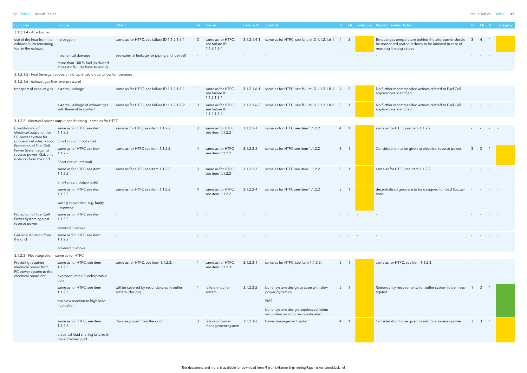32 DNV GL Result Tables Result Tables DNV GL 33

| <b>Function</b>                                                                                       | Failure                                                                    | <b>Effect</b>                                                |               | Si Cause                                               | <b>Failure ID</b> Control |                                                                                |             |   | Oi Di category Recommended Action                                                                                                          |                         |                  |                          | Sr Or Dr category |
|-------------------------------------------------------------------------------------------------------|----------------------------------------------------------------------------|--------------------------------------------------------------|---------------|--------------------------------------------------------|---------------------------|--------------------------------------------------------------------------------|-------------|---|--------------------------------------------------------------------------------------------------------------------------------------------|-------------------------|------------------|--------------------------|-------------------|
| 3.1.2.1.4 - Afterburner                                                                               |                                                                            |                                                              |               |                                                        |                           |                                                                                |             |   |                                                                                                                                            |                         |                  |                          |                   |
| use of the heat from the<br>exhaust, burn remaining<br>fuel in the exhaust                            | no oxygen                                                                  | same as for HTFC, see failure ID 1.1.2.1.6-1                 | -3            | same as for HTFC.<br>see failure ID<br>$1.1.2.1.6 - 1$ |                           | 3.1.2.1.4-1 same as for HTFC, see failure ID 1.1.2.1.6-1                       | 4           | 2 | Exhaust gas temperature behind the afterburner should<br>be monitored and shut down to be initiated in case of<br>reaching limiting values | $\overline{\mathbf{3}}$ | $\overline{4}$   |                          |                   |
|                                                                                                       | mechanical damage                                                          | see external leakage for piping and fuel cell                |               |                                                        |                           |                                                                                |             |   |                                                                                                                                            |                         |                  |                          |                   |
|                                                                                                       | more than 100 % fuel (excluded<br>at least 2 failures have to occur)       |                                                              |               |                                                        |                           |                                                                                |             |   |                                                                                                                                            |                         |                  |                          |                   |
|                                                                                                       | 3.1.2.1.5 - heat (energy) recovery - not applicable due to low temperature |                                                              |               |                                                        |                           |                                                                                |             |   |                                                                                                                                            |                         |                  |                          |                   |
| 3.1.2.1.6 - exhaust gas line (overpressure)                                                           |                                                                            |                                                              |               |                                                        |                           |                                                                                |             |   |                                                                                                                                            |                         |                  |                          |                   |
| transport of exhaust gas external leakage                                                             |                                                                            | same as for HTFC, see failure ID 1.1.2.1.8-1                 |               | same as for HTFC,<br>see failure ID<br>$1.1.2.1.8-1$   |                           | 3.1.2.1.6-1 same as for HTFC, see failure ID 1.1.2.1.8-1 4 2                   |             |   | No further recommended actions related to Fuel Cell<br>applications identified                                                             |                         |                  | the company's company's  |                   |
|                                                                                                       | external leakage of exhaust gas<br>with flammable content                  | same as for HTFC, see failure ID 1.1.2.1.8-2                 | $\mathcal{B}$ | same as for HTFC.<br>see failure ID<br>$1.1.2.1.8 - 2$ |                           | 3.1.2.1.6-2 same as for HTFC, see failure ID 1.1.2.1.8-2 2                     |             |   | No further recommended actions related to Fuel Cell<br>applications identified                                                             |                         |                  | <b>Contract Contract</b> |                   |
|                                                                                                       | 3.1.2.2 - electrical power output conditioning - same as for HTFC          |                                                              |               |                                                        |                           |                                                                                |             |   |                                                                                                                                            |                         |                  |                          |                   |
| Conditioning of<br>electrical output of the<br>FC power system for<br>onboard net integration;        | same as for HTFC see item<br>1.1.2.2<br>Short circuit (input side)         | same as for HTFC see item 1.1.2.2                            | $\mathcal{B}$ | same as for HTFC<br>see item 1.1.2.2                   | $3.1.2.2 - 1$             | same as for HTFC see item 1.1.2.2                                              | $4 \quad 1$ |   | same as for HTFC see item 1.1.2.2                                                                                                          |                         |                  |                          |                   |
| Protection of Fuel Cell<br>Power System against<br>reverse power; Galvanic<br>isolation from the grid | same as for HTFC see item<br>1.1.2.2                                       | same as for HTFC see item 1.1.2.2                            |               | same as for HTFC<br>see item 1.1.2.2                   | $3.1.2.2 - 2$             | same as for HTFC see item 1.1.2.2                                              | $3 \quad 1$ |   | Consideration to be given to electrical reverse power                                                                                      | $\mathbf{3}$            | $\overline{3}$   |                          |                   |
|                                                                                                       | Short circuit (internal)                                                   |                                                              |               |                                                        |                           |                                                                                |             |   |                                                                                                                                            |                         |                  |                          |                   |
|                                                                                                       | same as for HTFC see item<br>1.1.2.2                                       | same as for HTFC see item 1.1.2.2                            | $\mathcal{B}$ | same as for HTFC<br>see item 1.1.2.2                   | $3.1.2.2 - 3$             | same as for HTFC see item 1.1.2.2                                              | $3 \quad 1$ |   | same as for HTFC see item 1.1.2.2                                                                                                          |                         |                  |                          |                   |
|                                                                                                       | Short circuit (output side)                                                |                                                              |               |                                                        |                           |                                                                                |             |   |                                                                                                                                            |                         |                  |                          |                   |
|                                                                                                       | same as for HTFC see item<br>1.1.2.2<br>wrong conversion, e.g. faulty      | same as for HTFC see item 1.1.2.2                            |               | same as for HTFC<br>see item 1.1.2.2                   | $3.1.2.2 - 4$             | same as for HTFC see item 1.1.2.2                                              | $3 \quad 1$ |   | decentralised grids are to be designed for load fluctua-<br>tions                                                                          |                         |                  |                          |                   |
|                                                                                                       | frequency                                                                  |                                                              |               |                                                        |                           |                                                                                |             |   |                                                                                                                                            |                         |                  |                          |                   |
| Protection of Fuel Cell<br>Power System against<br>reverse power                                      | same as for HTFC see item<br>1.1.2.2:<br>covered in above                  |                                                              |               |                                                        |                           |                                                                                |             |   |                                                                                                                                            |                         |                  |                          |                   |
| Galvanic isolation from                                                                               | same as for HTFC see item                                                  |                                                              |               |                                                        |                           |                                                                                |             |   |                                                                                                                                            |                         |                  |                          |                   |
| the grid                                                                                              | 1.1.2.2:                                                                   |                                                              |               |                                                        |                           |                                                                                |             |   |                                                                                                                                            |                         |                  |                          |                   |
|                                                                                                       | covered in above                                                           |                                                              |               |                                                        |                           |                                                                                |             |   |                                                                                                                                            |                         |                  |                          |                   |
| 3.1.2.3 - Net integration - same as for HTFC                                                          |                                                                            |                                                              |               |                                                        |                           |                                                                                |             |   |                                                                                                                                            |                         |                  |                          |                   |
| Providing required<br>electrical power from<br>FC power system to the                                 | same as for HTFC, see item<br>1.1.2.3:                                     | same as for HTFC, see item 1.1.2.3:                          |               | same as for HTFC.<br>see item 1.1.2.3:                 | $3.1.2.3 - 1$             | same as for HTFC, see item 1.1.2.3:                                            | $5 \quad 1$ |   | same as for HTFC, see item 1.1.2.3:                                                                                                        |                         |                  |                          |                   |
| electrical board net                                                                                  | overproduction / underproduc-<br>tion                                      |                                                              |               |                                                        |                           |                                                                                |             |   |                                                                                                                                            |                         |                  |                          |                   |
|                                                                                                       | same as for HTFC, see item<br>1.1.2.3:                                     | will be covered by redundancies in buffer<br>system (design) |               | failure in buffer<br>system                            | $3.1.2.3 - 2$             | buffer system design to cope with slow<br>power dynamics                       | $5 \quad 1$ |   | Redundancy requirements for buffer system to be inves- 1 3 1<br>tigated                                                                    |                         |                  |                          |                   |
|                                                                                                       | too slow reaction to high load                                             |                                                              |               |                                                        |                           | <b>PMS</b>                                                                     |             |   |                                                                                                                                            |                         |                  |                          |                   |
|                                                                                                       | fluctuation                                                                |                                                              |               |                                                        |                           | buffer system design requires sufficient<br>redundancies -> to be investigated |             |   |                                                                                                                                            |                         |                  |                          |                   |
|                                                                                                       | same as for HTFC, see item<br>1.1.2.3                                      | Reverse power from the grid                                  | 3             | failure of power<br>management system                  | $3.1.2.3 - 3$             | Power management system                                                        | $4 \quad 1$ |   | Consideration to be given to electrical reveres power                                                                                      | 3 <sup>1</sup>          | $\overline{3}$ 1 |                          |                   |
|                                                                                                       | electrical load sharing failures in<br>decentralized grid                  |                                                              |               |                                                        |                           |                                                                                |             |   |                                                                                                                                            |                         |                  |                          |                   |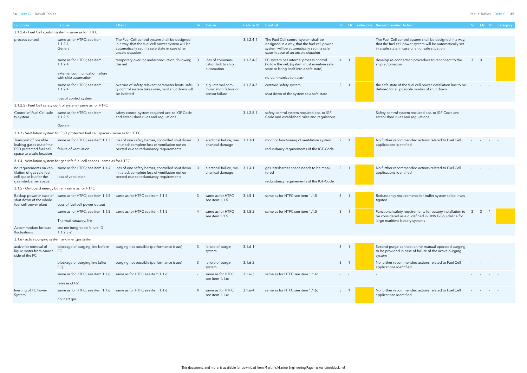| Function                                                                                                 | Failure                                                                             | <b>Effect</b>                                                                                                                                                                  |    | Si Cause                                                      | Failure ID Control |                                                                                                                                                                            |                  |        | Oi Di category Recommended Action                                                                                                                                       |   |              |                          | Sr Or Dr category |
|----------------------------------------------------------------------------------------------------------|-------------------------------------------------------------------------------------|--------------------------------------------------------------------------------------------------------------------------------------------------------------------------------|----|---------------------------------------------------------------|--------------------|----------------------------------------------------------------------------------------------------------------------------------------------------------------------------|------------------|--------|-------------------------------------------------------------------------------------------------------------------------------------------------------------------------|---|--------------|--------------------------|-------------------|
|                                                                                                          | 3.1.2.4 - Fuel Cell control system - same as for HTFC                               |                                                                                                                                                                                |    |                                                               |                    |                                                                                                                                                                            |                  |        |                                                                                                                                                                         |   |              |                          |                   |
| process control                                                                                          | same as for HTFC; see item<br>1.1.2.4<br>General                                    | The Fuel Cell control system shall be designed<br>in a way, that the fuel cell power system will be<br>automatically set in a safe state in case of an<br>unsafe situation     |    |                                                               | $3.1.2.4 - 1$      | The Fuel Cell control system shall be<br>designed in a way, that the fuel cell power<br>system will be automatically set in a safe<br>state in case of an unsafe situation |                  |        | The Fuel Cell control system shall be designed in a way,<br>that the fuel cell power system will be automatically set<br>in a safe state in case of an unsafe situation |   |              |                          |                   |
|                                                                                                          | same as for HTFC; see item<br>$1.1.2.4$ :                                           | temporary over- or underproduction; following<br>the net                                                                                                                       |    | loss of communi-<br>cation link to ship<br>automation         | $3.1.2.4 - 2$      | FC system has internal process control<br>(follow the net) (system must maintain safe<br>state or bring itself into a safe state)                                          | $\overline{4}$   |        | develop re-connection procedure to reconnect to the<br>ship automation                                                                                                  |   | $\mathbf{3}$ |                          |                   |
|                                                                                                          | external communication failure<br>with ship automation                              |                                                                                                                                                                                |    |                                                               |                    | no-communication alarm                                                                                                                                                     |                  |        |                                                                                                                                                                         |   |              |                          |                   |
|                                                                                                          | same as for HTFC; see item<br>1.1.2.4                                               | overrun of safety relevant parameter limits, safe-<br>ty control system takes over, hard shut down will<br>be initiated                                                        |    | e.g. internal com-<br>munication failure or<br>sensor failure | 3.1.2.4-3          | certified safety system<br>shut down of the system to a safe state                                                                                                         | 3 <sup>7</sup>   |        | the safe state of the fuel cell power installation has to be<br>defined for all possible modes of shut down                                                             |   |              |                          |                   |
|                                                                                                          | loss of control system                                                              |                                                                                                                                                                                |    |                                                               |                    |                                                                                                                                                                            |                  |        |                                                                                                                                                                         |   |              |                          |                   |
|                                                                                                          | 3.1.2.5 - Fuel Cell safety control system - same as for HTFC                        |                                                                                                                                                                                |    |                                                               |                    |                                                                                                                                                                            |                  |        |                                                                                                                                                                         |   |              |                          |                   |
| ty system                                                                                                | Control of Fuel Cell safe- same as for HTFC; see item<br>1.1.2.6:                   | safety control system required acc. to IGF Code<br>and established rules and regulations                                                                                       |    |                                                               | $3.1.2.5 - 1$      | safety control system required acc. to IGF<br>Code and established rules and regulations                                                                                   |                  |        | Safety control system required acc. to IGF Code and<br>established rules and regulations                                                                                |   |              |                          |                   |
|                                                                                                          | General                                                                             |                                                                                                                                                                                |    |                                                               |                    |                                                                                                                                                                            |                  |        |                                                                                                                                                                         |   |              |                          |                   |
|                                                                                                          | 3.1.3 - Ventilation system for ESD protected fuel cell spaces - same as for HTFC    |                                                                                                                                                                                |    |                                                               |                    |                                                                                                                                                                            |                  |        |                                                                                                                                                                         |   |              |                          |                   |
| Transport of possible<br>leaking gases out of the<br>ESD protected fuel cell<br>space to a safe location | failure of ventilation                                                              | same as for HTFC; see item 1.1.3: loss of one safety barrier, controlled shut down<br>initiated: complete loss of ventilation not ex-<br>pected due to redundancy requirements |    | electrical failure, me-<br>chanical damage                    | $3.1.3 - 1$        | monitor functioning of ventilation system<br>redundancy requirements of the IGF-Code                                                                                       | 2                |        | No further recommended actions related to Fuel Cell<br>applications identified                                                                                          |   |              |                          |                   |
|                                                                                                          | 3.1.4 - Ventilation system for gas safe fuel cell spaces - same as for HTFC         |                                                                                                                                                                                |    |                                                               |                    |                                                                                                                                                                            |                  |        |                                                                                                                                                                         |   |              |                          |                   |
| no requirements on ven-<br>tilation of gas safe fuel<br>cell space but for the<br>gas interbarrier space | loss of ventilation                                                                 | same as for HTFC; see item 1.1.4: loss of one safety barrier, controlled shut down<br>initiated: complete loss of ventilation not ex-<br>pected due to redundancy requirements |    | electrical failure, me- 3.1.4-1<br>chanical damage            |                    | gas interbarrier space needs to be moni-<br>tored<br>redundancy requirements of the IGF-Code                                                                               | 2                |        | No further recommended actions related to Fuel Cell<br>applications identified                                                                                          |   |              |                          |                   |
| 3.1.5 - On-board energy buffer - same as for HTFC                                                        |                                                                                     |                                                                                                                                                                                |    |                                                               |                    |                                                                                                                                                                            |                  |        |                                                                                                                                                                         |   |              |                          |                   |
| Backup power in case of                                                                                  | same as for HTFC; see item 1.1.5: same as for HTFC see item 1.1.5                   |                                                                                                                                                                                |    | same as for HTFC                                              | $3.1.5 - 1$        | same as for HTFC see item 1.1.5                                                                                                                                            | 3 <sup>1</sup>   |        | Redundancy requirements for buffer system to be inves-                                                                                                                  |   |              |                          |                   |
| shut down of the whole<br>fuel cell power plant                                                          | Loss of fuel cell power output                                                      |                                                                                                                                                                                |    | see item 1.1.5                                                |                    |                                                                                                                                                                            |                  |        | tigated                                                                                                                                                                 |   |              |                          |                   |
|                                                                                                          | same as for HTFC; see item 1.1.5: same as for HTFC see item 1.1.5                   |                                                                                                                                                                                |    | same as for HTFC<br>see item 1.1.5                            | $3.1.5 - 2$        | same as for HTFC see item 1.1.5                                                                                                                                            | 3 <sup>7</sup>   |        | Functional safety requirements for battery installation to<br>be considered as e.g. defined in DNV GL guideline for                                                     | 3 | 3            |                          |                   |
|                                                                                                          | Thermal runaway, fire                                                               |                                                                                                                                                                                |    |                                                               |                    |                                                                                                                                                                            |                  |        | large maritime battery systems                                                                                                                                          |   |              |                          |                   |
| Accommodate for load<br>fluctuations                                                                     | see net integration failure ID<br>$1.1.2.3 - 2$                                     | $\sim$                                                                                                                                                                         |    |                                                               |                    |                                                                                                                                                                            |                  | $\sim$ |                                                                                                                                                                         |   |              |                          |                   |
| 3.1.6 - active purging system and inertgas system                                                        |                                                                                     |                                                                                                                                                                                |    |                                                               |                    |                                                                                                                                                                            |                  |        |                                                                                                                                                                         |   |              |                          |                   |
| active for removal of<br>liquid water from Anode<br>side of the FC                                       | blockage of purging line before<br>FC.                                              | purging not possible (performance issue)                                                                                                                                       | -3 | failure of purgin<br>system                                   | $3.1.6 - 1$        |                                                                                                                                                                            | $3 \quad 1$      |        | Second purge connection for manual operated purging<br>to be provided in case of failure of the active purging<br>system                                                |   |              | <b>Contract Contract</b> |                   |
|                                                                                                          | blockage of purging line (after<br>FC)                                              | purging not possible (performance issue)                                                                                                                                       | -3 | failure of purgin<br>system                                   | $3.1.6 - 2$        |                                                                                                                                                                            | 3 <sup>7</sup>   |        | No further recommended actions related to Fuel Cell<br>applications identified                                                                                          |   |              |                          |                   |
|                                                                                                          | same as for HTFC; see item 1.1.6: same as for HTFC see item 1.1.6:<br>release of H2 |                                                                                                                                                                                |    | same as for HTFC<br>see item 1.1.6:                           | $3.1.6 - 3$        | same as for HTFC see item 1.1.6:                                                                                                                                           | $\sim$ 100 $\mu$ |        |                                                                                                                                                                         |   |              |                          |                   |
| Inerting of FC Power                                                                                     |                                                                                     |                                                                                                                                                                                |    | same as for HTFC                                              |                    | same as for HTFC see item 1.1.6:                                                                                                                                           | $3 \quad 1$      |        | No further recommended actions related to Fuel Cell                                                                                                                     |   |              |                          |                   |
| System                                                                                                   | same as for HTFC; see item 1.1.6: same as for HTFC see item 1.1.6:<br>no inert gas  |                                                                                                                                                                                |    | see item 1.1.6:                                               | $3.1.6 - 4$        |                                                                                                                                                                            |                  |        | applications identified                                                                                                                                                 |   |              |                          |                   |

| Oi             | Di           | category Recommended Action                                                                                                                                             | Sr | Or | Dr. | category |
|----------------|--------------|-------------------------------------------------------------------------------------------------------------------------------------------------------------------------|----|----|-----|----------|
|                |              |                                                                                                                                                                         |    |    |     |          |
|                |              | The Fuel Cell control system shall be designed in a way,<br>that the fuel cell power system will be automatically set<br>in a safe state in case of an unsafe situation |    |    |     |          |
| 4              | 1            | develop re-connection procedure to reconnect to the<br>ship automation                                                                                                  | 3  | 3  | 1   |          |
| 3              | 1            | the safe state of the fuel cell power installation has to be<br>defined for all possible modes of shut down                                                             |    |    |     |          |
|                |              |                                                                                                                                                                         |    |    |     |          |
|                |              | Safety control system required acc. to IGF Code and<br>established rules and regulations                                                                                |    |    |     |          |
|                |              |                                                                                                                                                                         |    |    |     |          |
| $\overline{2}$ | 1            | No further recommended actions related to Fuel Cell<br>applications identified                                                                                          |    |    |     |          |
|                |              |                                                                                                                                                                         |    |    |     |          |
| $\overline{2}$ | 1            | No further recommended actions related to Fuel Cell<br>applications identified                                                                                          |    |    |     |          |
|                |              |                                                                                                                                                                         |    |    |     |          |
| 3              | 1            | Redundancy requirements for buffer system to be inves-<br>tigated                                                                                                       |    |    |     |          |
| 3              | 1            | Functional safety requirements for battery installation to<br>be considered as e.g. defined in DNV GL guideline for<br>large maritime battery systems                   | 3  | 3  | 1   |          |
|                |              |                                                                                                                                                                         |    |    |     |          |
| 3              | 1            | Second purge connection for manual operated purging<br>to be provided in case of failure of the active purging<br>system                                                |    |    |     |          |
| 3              | $\mathbf{1}$ | No further recommended actions related to Fuel Cell<br>applications identified                                                                                          |    |    |     |          |
|                |              |                                                                                                                                                                         |    |    |     |          |
| 3              | 1            | No further recommended actions related to Fuel Cell<br>applications identified                                                                                          |    |    |     |          |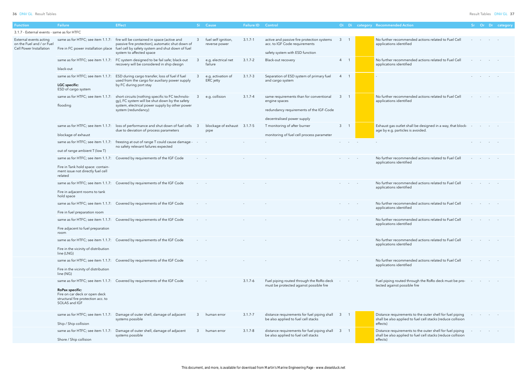| Oi | Di           | category Recommended Action                                                                                                         | Sr | Or | Dr | category |
|----|--------------|-------------------------------------------------------------------------------------------------------------------------------------|----|----|----|----------|
| 3  | $\mathbf{1}$ | No further recommended actions related to Fuel Cell<br>applications identified                                                      |    |    |    |          |
| 4  | 1            | No further recommended actions related to Fuel Cell<br>applications identified                                                      |    |    |    |          |
| 4  | 1            | $\qquad \qquad \blacksquare$                                                                                                        |    |    |    |          |
| 3  | $\mathbf{1}$ | No further recommended actions related to Fuel Cell<br>applications identified                                                      |    |    |    |          |
| 3  | $\mathbf{1}$ | Exhaust gas outlet shall be designed in a way, that block-<br>age by e.g. particles is avoided.                                     |    |    |    |          |
|    |              |                                                                                                                                     |    |    |    |          |
|    |              | No further recommended actions related to Fuel Cell<br>applications identified                                                      |    |    |    |          |
|    |              | No further recommended actions related to Fuel Cell<br>applications identified                                                      |    |    |    |          |
|    |              | No further recommended actions related to Fuel Cell<br>applications identified                                                      |    |    |    |          |
|    |              | No further recommended actions related to Fuel Cell<br>applications identified                                                      |    |    |    |          |
|    |              | No further recommended actions related to Fuel Cell<br>applications identified                                                      |    |    |    |          |
|    |              | No further recommended actions related to Fuel Cell<br>applications identified                                                      |    |    |    |          |
|    |              | Fuel piping routed through the RoRo deck must be pro-<br>tected against possible fire                                               |    |    |    |          |
| 3  | 1            | Distance requirements to the outer shell for fuel piping<br>shall be also applied to fuel cell stacks (reduce collision<br>effects) |    |    |    |          |
| 3  | $\mathbf{1}$ | Distance requirements to the outer shell for fuel piping<br>shall be also applied to fuel cell stacks (reduce collision<br>affacts) |    |    |    |          |

| Function                                                                       | Failure                                                                                                                | <b>Effect</b>                                                                                                                                                                                                                                         |                          | Si Cause                             | <b>Failure ID Control</b> |                                                                                                                                   |                |                            | Oi Di category Recommended Action                                                                                                   |            |  | Sr Or Dr category |
|--------------------------------------------------------------------------------|------------------------------------------------------------------------------------------------------------------------|-------------------------------------------------------------------------------------------------------------------------------------------------------------------------------------------------------------------------------------------------------|--------------------------|--------------------------------------|---------------------------|-----------------------------------------------------------------------------------------------------------------------------------|----------------|----------------------------|-------------------------------------------------------------------------------------------------------------------------------------|------------|--|-------------------|
| 3.1.7 - External events - same as for HTFC                                     |                                                                                                                        |                                                                                                                                                                                                                                                       |                          |                                      |                           |                                                                                                                                   |                |                            |                                                                                                                                     |            |  |                   |
| External events acting<br>on the Fuel and / or Fuel<br>Cell Power Installation |                                                                                                                        | same as for HTFC; see item 1.1.7: fire will be contained in space (active and<br>passive fire protection), automatic shut down of<br>Fire in FC power installation place fuel cell by safety system and shut down of fuel<br>system to affected space |                          | fuel self ignition,<br>reverse power | $3.1.7 - 1$               | active and passive fire protection systems<br>acc. to IGF Code requirements<br>safety system with ESD function                    | $\mathbf{3}$   |                            | No further recommended actions related to Fuel Cell<br>applications identified                                                      |            |  |                   |
|                                                                                | black-out                                                                                                              | same as for HTFC; see item 1.1.7: FC system designed to be fail safe; black-out<br>recovery will be considered in ship design                                                                                                                         |                          | e.g. electrical net<br>failure       | $3.1.7 - 2$               | Black-out recovery                                                                                                                | $4 \quad$      | - 1                        | No further recommended actions related to Fuel Cell<br>applications identified                                                      |            |  |                   |
|                                                                                | same as for HTFC; see item 1.1.7:<br><b>LGC</b> specific:<br>ESD of cargo system                                       | ESD during cargo transfer, loss of fuel if fuel<br>used from the cargo for auxiliary power supply<br>by FC during port stay                                                                                                                           |                          | e.g. activation of<br>ERC jetty      | $3.1.7 - 3$               | Separation of ESD system of primary fuel<br>and cargo system                                                                      | 4              |                            |                                                                                                                                     |            |  |                   |
|                                                                                | flooding                                                                                                               | same as for HTFC; see item 1.1.7: short circuits (nothing specific to FC technolo-<br>gy), FC system will be shut down by the safety<br>system, electrical power supply by other power<br>system (redundancy)                                         | 3                        | e.g. collision                       | $3.1.7 - 4$               | same requirements than for conventional<br>engine spaces<br>redundancy requirements of the IGF-Code<br>decentralised power supply | $\mathbf{3}$   | $\overline{1}$             | No further recommended actions related to Fuel Cell<br>applications identified                                                      |            |  |                   |
|                                                                                | blockage of exhaust                                                                                                    | same as for HTFC; see item 1.1.7: loss of performance and shut down of fuel cells 3<br>due to deviation of process parameters                                                                                                                         |                          | blockage of exhaust 3.1.7-5<br>pipe  |                           | T monitoring of after burner<br>monitoring of fuel cell process parameter                                                         | 3 <sup>7</sup> |                            | Exhaust gas outlet shall be designed in a way, that block-<br>age by e.g. particles is avoided.                                     |            |  |                   |
|                                                                                | out of range ambient T (low T)                                                                                         | same as for HTFC; see item 1.1.7: freezing at out of range T could cause damage -<br>no safety relevant failures expected                                                                                                                             |                          |                                      |                           |                                                                                                                                   |                |                            |                                                                                                                                     |            |  |                   |
|                                                                                | same as for HTFC; see item 1.1.7:<br>Fire in Tank hold space: contain-<br>ment issue not directly fuel cell<br>related | Covered by requirements of the IGF Code                                                                                                                                                                                                               |                          |                                      |                           |                                                                                                                                   |                |                            | No further recommended actions related to Fuel Cell<br>applications identified                                                      |            |  |                   |
|                                                                                | Fire in adjacent rooms to tank<br>hold space                                                                           | same as for HTFC; see item 1.1.7: Covered by requirements of the IGF Code                                                                                                                                                                             |                          |                                      |                           |                                                                                                                                   |                |                            | No further recommended actions related to Fuel Cell<br>applications identified                                                      |            |  |                   |
|                                                                                | Fire in fuel preparation room                                                                                          | same as for HTFC; see item 1.1.7: Covered by requirements of the IGF Code                                                                                                                                                                             |                          |                                      |                           |                                                                                                                                   |                | and the state of the state | No further recommended actions related to Fuel Cell<br>applications identified                                                      |            |  |                   |
|                                                                                | Fire adjacent to fuel preparation<br>room                                                                              | same as for HTFC; see item 1.1.7: Covered by requirements of the IGF Code                                                                                                                                                                             | <b>Service Control</b>   |                                      | $\sim$                    |                                                                                                                                   |                | and the state of the state | No further recommended actions related to Fuel Cell<br>applications identified                                                      |            |  |                   |
|                                                                                | Fire in the vicinity of distribution<br>line (LNG)                                                                     | same as for HTFC; see item 1.1.7: Covered by requirements of the IGF Code                                                                                                                                                                             |                          |                                      |                           |                                                                                                                                   |                |                            | No further recommended actions related to Fuel Cell<br>applications identified                                                      |            |  |                   |
|                                                                                | Fire in the vicinity of distribution<br>line (NG)                                                                      | same as for HTFC; see item 1.1.7: Covered by requirements of the IGF Code                                                                                                                                                                             | $\omega_{\rm{max}}=0.01$ |                                      |                           |                                                                                                                                   |                | <b>Service</b> State       | No further recommended actions related to Fuel Cell<br>applications identified                                                      |            |  |                   |
|                                                                                | <b>RoPax specific:</b><br>Fire on car deck or open deck<br>structural fire protection acc. to<br>SOLAS and IGF         | same as for HTFC; see item 1.1.7: Covered by requirements of the IGF Code                                                                                                                                                                             | All Control              |                                      | $3.1.7 - 6$               | Fuel piping routed through the RoRo deck<br>must be protected against possible fire                                               |                | <b>Service</b>             | Fuel piping routed through the RoRo deck must be pro-<br>tected against possible fire                                               | $\sim 100$ |  |                   |
|                                                                                | Ship / Ship collision                                                                                                  | same as for HTFC; see item 1.1.7: Damage of outer shell, damage of adjacent<br>systems possible                                                                                                                                                       | 3                        | human error                          | $3.1.7 - 7$               | distance requirements for fuel piping shall<br>be also applied to fuel cell stacks                                                | -3             |                            | Distance requirements to the outer shell for fuel piping<br>shall be also applied to fuel cell stacks (reduce collision<br>effects) |            |  |                   |
|                                                                                | Shore / Ship collision                                                                                                 | same as for HTFC; see item 1.1.7: Damage of outer shell, damage of adjacent<br>systems possible                                                                                                                                                       | 3                        | human error                          | $3.1.7 - 8$               | distance requirements for fuel piping shall<br>be also applied to fuel cell stacks                                                | $\mathbf{3}$   |                            | Distance requirements to the outer shell for fuel piping<br>shall be also applied to fuel cell stacks (reduce collision<br>effects) |            |  |                   |
|                                                                                |                                                                                                                        |                                                                                                                                                                                                                                                       |                          |                                      |                           |                                                                                                                                   |                |                            |                                                                                                                                     |            |  |                   |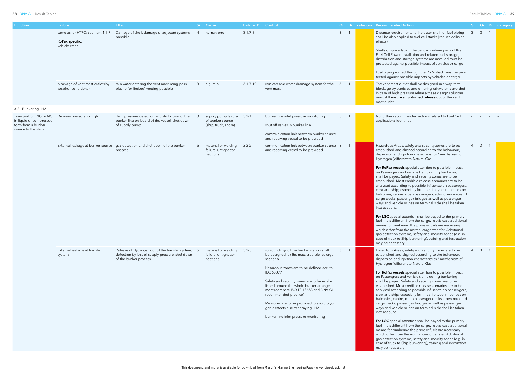| <b>Function</b>                                                                                | Failure                                                                      | <b>Effect</b>                                                                                                                 |                | Si Cause                                                              | Failure ID Control |                                                                                                                                                                                                                                                                                                                                                                                                                                                    |             | Oi Di category Recommended Action                                                                                                                                                                                                                                                                                                                                                                                                                                                                                                                                                                                                                                                                                                                                                                                                                                                                                                                                                                                                                                                                                                                                  |                |                  | Sr Or Dr category |
|------------------------------------------------------------------------------------------------|------------------------------------------------------------------------------|-------------------------------------------------------------------------------------------------------------------------------|----------------|-----------------------------------------------------------------------|--------------------|----------------------------------------------------------------------------------------------------------------------------------------------------------------------------------------------------------------------------------------------------------------------------------------------------------------------------------------------------------------------------------------------------------------------------------------------------|-------------|--------------------------------------------------------------------------------------------------------------------------------------------------------------------------------------------------------------------------------------------------------------------------------------------------------------------------------------------------------------------------------------------------------------------------------------------------------------------------------------------------------------------------------------------------------------------------------------------------------------------------------------------------------------------------------------------------------------------------------------------------------------------------------------------------------------------------------------------------------------------------------------------------------------------------------------------------------------------------------------------------------------------------------------------------------------------------------------------------------------------------------------------------------------------|----------------|------------------|-------------------|
|                                                                                                | same as for HTFC; see item 1.1.7:<br><b>RoPax specific:</b><br>vehicle crash | Damage of shell, damage of adjacent systems<br>possible                                                                       | $\overline{4}$ | human error                                                           | $3.1.7 - 9$        |                                                                                                                                                                                                                                                                                                                                                                                                                                                    | $3 \quad 1$ | Distance requirements to the outer shell for fuel piping<br>shall be also applied to fuel cell stacks (reduce collision<br>effects)<br>Shells of space facing the car deck where parts of the<br>Fuel Cell Power Installation and related fuel storage,<br>distribution and storage systems are installed must be<br>protected against possible impact of vehicles or cargo<br>Fuel piping routed through the RoRo deck must be pro-                                                                                                                                                                                                                                                                                                                                                                                                                                                                                                                                                                                                                                                                                                                               |                | $3 \overline{3}$ |                   |
|                                                                                                | blockage of vent mast outlet (by<br>weather conditions)                      | rain water entering the vent mast, icing possi-<br>ble, no (or limited) venting possible                                      | 3              | e.g. rain                                                             | $3.1.7 - 10$       | rain cap and water drainage system for the 3<br>vent mast                                                                                                                                                                                                                                                                                                                                                                                          |             | tected against possible impacts by vehicles or cargo<br>The vent mast outlet shall be designed in a way, that<br>blockage by particles and entering rainwater is avoided.<br>In case of high pressure release these design solutions<br>must still ensure an upturned release out of the vent<br>mast outlet                                                                                                                                                                                                                                                                                                                                                                                                                                                                                                                                                                                                                                                                                                                                                                                                                                                       |                |                  |                   |
| 3.2 - Bunkering LH2                                                                            |                                                                              |                                                                                                                               |                |                                                                       |                    |                                                                                                                                                                                                                                                                                                                                                                                                                                                    |             |                                                                                                                                                                                                                                                                                                                                                                                                                                                                                                                                                                                                                                                                                                                                                                                                                                                                                                                                                                                                                                                                                                                                                                    |                |                  |                   |
| Transport of LNG or NG<br>in liquid or compressed<br>form from a bunker<br>source to the ships | Delivery pressure to high                                                    | High pressure detection and shut down of the<br>bunker line on-board of the vessel, shut down<br>of supply pump               |                | supply pump failure 3.2-1<br>of bunker source<br>(ship, truck, shore) |                    | bunker line inlet pressure monitoring<br>shut off valves in bunker line<br>communication link between bunker source<br>and receiving vessel to be provided                                                                                                                                                                                                                                                                                         | $3 \quad 1$ | No further recommended actions related to Fuel Cell<br>applications identified                                                                                                                                                                                                                                                                                                                                                                                                                                                                                                                                                                                                                                                                                                                                                                                                                                                                                                                                                                                                                                                                                     |                |                  |                   |
|                                                                                                |                                                                              | External leakage at bunker source gas detection and shut down of the bunker<br>process                                        |                | material or welding<br>failure, untight con-<br>nections              | $3.2 - 2$          | communication link between bunker source<br>and receiving vessel to be provided                                                                                                                                                                                                                                                                                                                                                                    | - 3         | Hazardous Areas, safety and security zones are to be<br>established and aligned according to the behaviour,<br>dispersion and ignition characteristics / mechanism of<br>Hydrogen (different to Natural Gas)<br>For RoPax vessels special attention to possible impact<br>on Passengers and vehicle traffic during bunkering<br>shall be payed. Safety and security zones are to be<br>established. Most credible release scenarios are to be<br>analysed according to possible influence on passengers,<br>crew and ship; especially for this ship type influences on<br>balconies, cabins, open passenger decks, open roro-and<br>cargo decks, passenger bridges as well as passenger<br>ways and vehicle routes on terminal side shall be taken<br>into account.<br>For LGC special attention shall be payed to the primary<br>fuel if it is different from the cargo. In this case additional<br>means for bunkering the primary fuels are necessary<br>which differ from the normal cargo transfer. Additional<br>gas detection systems, safety and security zones (e.g. in<br>case of truck to Ship bunkering), training and instruction<br>may be necessary |                | $\overline{3}$   |                   |
|                                                                                                | External leakage at transfer<br>system                                       | Release of Hydrogen out of the transfer system, 5<br>detection by loss of supply pressure, shut down<br>of the bunker process |                | material or welding<br>failure, untight con-<br>nections              | $3.2 - 3$          | surroundings of the bunker station shall<br>be designed for the max. credible leakage<br>scenario<br>Hazardous zones are to be defined acc. to<br>IEC 60079<br>Safety and security zones are to be estab-<br>lished around the whole bunker arrange-<br>ment (compare ISO TS 18683 and DNV GL<br>recommended practice)<br>Measures are to be provided to avoid cryo-<br>genic effects due to spraying LH2<br>bunker line inlet pressure monitoring | $3 \quad 1$ | Hazardous Areas, safety and security zones are to be<br>established and aligned according to the behaviour,<br>dispersion and ignition characteristics / mechanism of<br>Hydrogen (different to Natural Gas)<br>For RoPax vessels special attention to possible impact<br>on Passengers and vehicle traffic during bunkering<br>shall be payed. Safety and security zones are to be<br>established. Most credible release scenarios are to be<br>analysed according to possible influence on passengers,<br>crew and ship; especially for this ship type influences on<br>balconies, cabins, open passenger decks, open roro-and<br>cargo decks, passenger bridges as well as passenger<br>ways and vehicle routes on terminal side shall be taken<br>into account.<br>For LGC special attention shall be payed to the primary<br>fuel if it is different from the cargo. In this case additional<br>means for bunkering the primary fuels are necessary<br>which differ from the normal cargo transfer. Additional<br>gas detection systems, safety and security zones (e.g. in<br>case of truck to Ship bunkering), training and instruction<br>may be necessary | $\overline{4}$ | $3 \quad 1$      |                   |